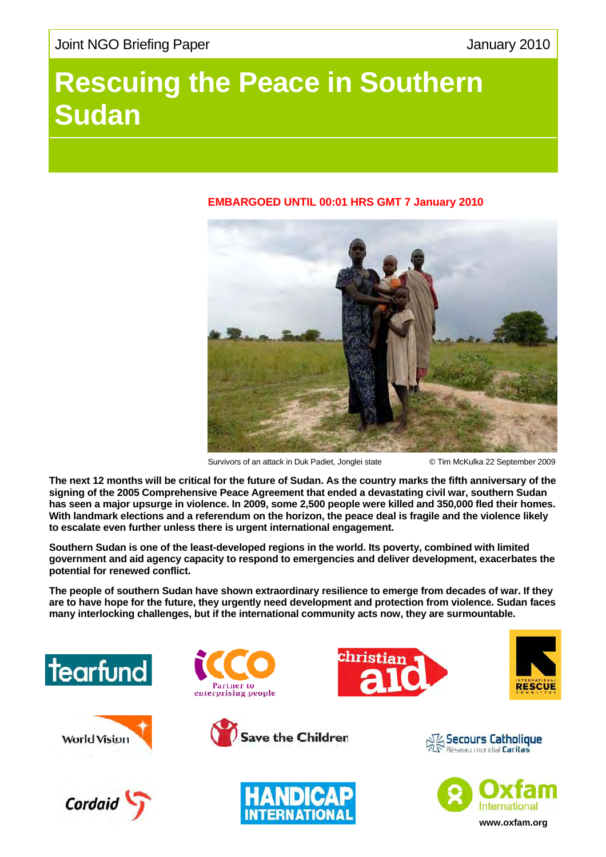# **Rescuing the Peace in Southern Sudan**

#### **EMBARGOED UNTIL 00:01 HRS GMT 7 January 2010**



Survivors of an attack in Duk Padiet, Jonglei state © Tim McKulka 22 September 2009

**The next 12 months will be critical for the future of Sudan. As the country marks the fifth anniversary of the signing of the 2005 Comprehensive Peace Agreement that ended a devastating civil war, southern Sudan has seen a major upsurge in violence. In 2009, some 2,500 people were killed and 350,000 fled their homes. With landmark elections and a referendum on the horizon, the peace deal is fragile and the violence likely to escalate even further unless there is urgent international engagement.** 

**Southern Sudan is one of the least-developed regions in the world. Its poverty, combined with limited government and aid agency capacity to respond to emergencies and deliver development, exacerbates the potential for renewed conflict.** 

**The people of southern Sudan have shown extraordinary resilience to emerge from decades of war. If they are to have hope for the future, they urgently need development and protection from violence. Sudan faces many interlocking challenges, but if the international community acts now, they are surmountable.**



















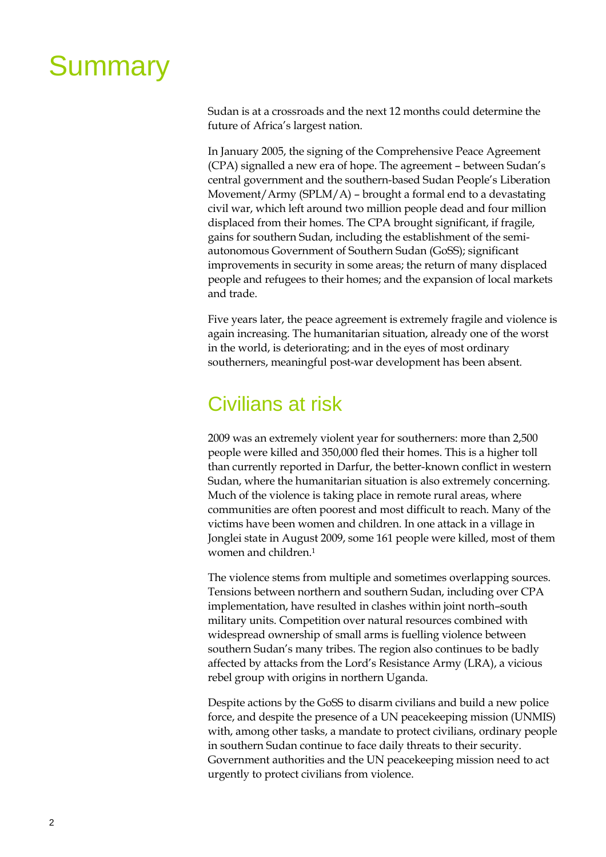# **Summary**

Sudan is at a crossroads and the next 12 months could determine the future of Africa's largest nation.

In January 2005, the signing of the Comprehensive Peace Agreement (CPA) signalled a new era of hope. The agreement – between Sudan's central government and the southern-based Sudan People's Liberation Movement/Army (SPLM/A) – brought a formal end to a devastating civil war, which left around two million people dead and four million displaced from their homes. The CPA brought significant, if fragile, gains for southern Sudan, including the establishment of the semiautonomous Government of Southern Sudan (GoSS); significant improvements in security in some areas; the return of many displaced people and refugees to their homes; and the expansion of local markets and trade.

Five years later, the peace agreement is extremely fragile and violence is again increasing. The humanitarian situation, already one of the worst in the world, is deteriorating; and in the eyes of most ordinary southerners, meaningful post-war development has been absent.

## Civilians at risk

2009 was an extremely violent year for southerners: more than 2,500 people were killed and 350,000 fled their homes. This is a higher toll than currently reported in Darfur, the better-known conflict in western Sudan, where the humanitarian situation is also extremely concerning. Much of the violence is taking place in remote rural areas, where communities are often poorest and most difficult to reach. Many of the victims have been women and children. In one attack in a village in Jonglei state in August 2009, some 161 people were killed, most of them women and children.1

The violence stems from multiple and sometimes overlapping sources. Tensions between northern and southern Sudan, including over CPA implementation, have resulted in clashes within joint north–south military units. Competition over natural resources combined with widespread ownership of small arms is fuelling violence between southern Sudan's many tribes. The region also continues to be badly affected by attacks from the Lord's Resistance Army (LRA), a vicious rebel group with origins in northern Uganda.

Despite actions by the GoSS to disarm civilians and build a new police force, and despite the presence of a UN peacekeeping mission (UNMIS) with, among other tasks, a mandate to protect civilians, ordinary people in southern Sudan continue to face daily threats to their security. Government authorities and the UN peacekeeping mission need to act urgently to protect civilians from violence.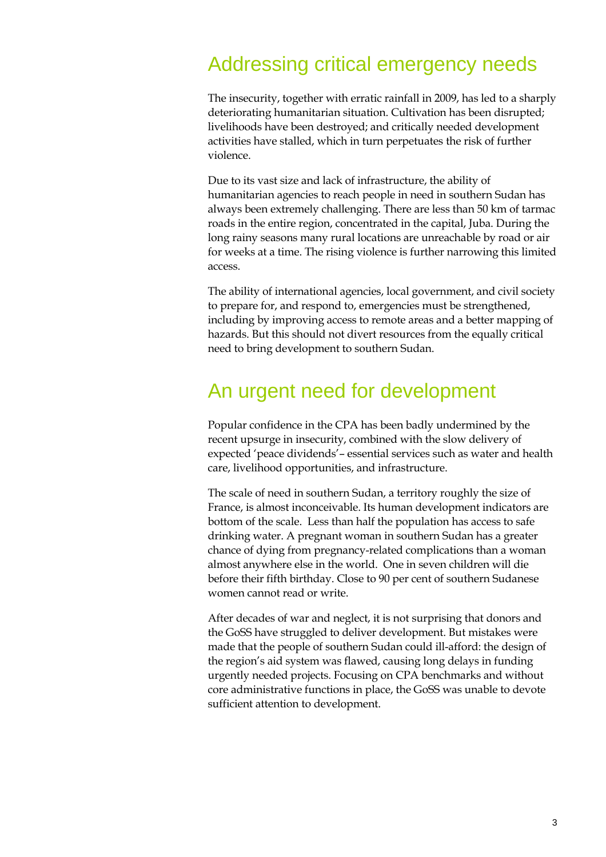## Addressing critical emergency needs

The insecurity, together with erratic rainfall in 2009, has led to a sharply deteriorating humanitarian situation. Cultivation has been disrupted; livelihoods have been destroyed; and critically needed development activities have stalled, which in turn perpetuates the risk of further violence.

Due to its vast size and lack of infrastructure, the ability of humanitarian agencies to reach people in need in southern Sudan has always been extremely challenging. There are less than 50 km of tarmac roads in the entire region, concentrated in the capital, Juba. During the long rainy seasons many rural locations are unreachable by road or air for weeks at a time. The rising violence is further narrowing this limited access.

The ability of international agencies, local government, and civil society to prepare for, and respond to, emergencies must be strengthened, including by improving access to remote areas and a better mapping of hazards. But this should not divert resources from the equally critical need to bring development to southern Sudan.

## An urgent need for development

Popular confidence in the CPA has been badly undermined by the recent upsurge in insecurity, combined with the slow delivery of expected 'peace dividends'– essential services such as water and health care, livelihood opportunities, and infrastructure.

The scale of need in southern Sudan, a territory roughly the size of France, is almost inconceivable. Its human development indicators are bottom of the scale. Less than half the population has access to safe drinking water. A pregnant woman in southern Sudan has a greater chance of dying from pregnancy-related complications than a woman almost anywhere else in the world. One in seven children will die before their fifth birthday. Close to 90 per cent of southern Sudanese women cannot read or write.

After decades of war and neglect, it is not surprising that donors and the GoSS have struggled to deliver development. But mistakes were made that the people of southern Sudan could ill-afford: the design of the region's aid system was flawed, causing long delays in funding urgently needed projects. Focusing on CPA benchmarks and without core administrative functions in place, the GoSS was unable to devote sufficient attention to development.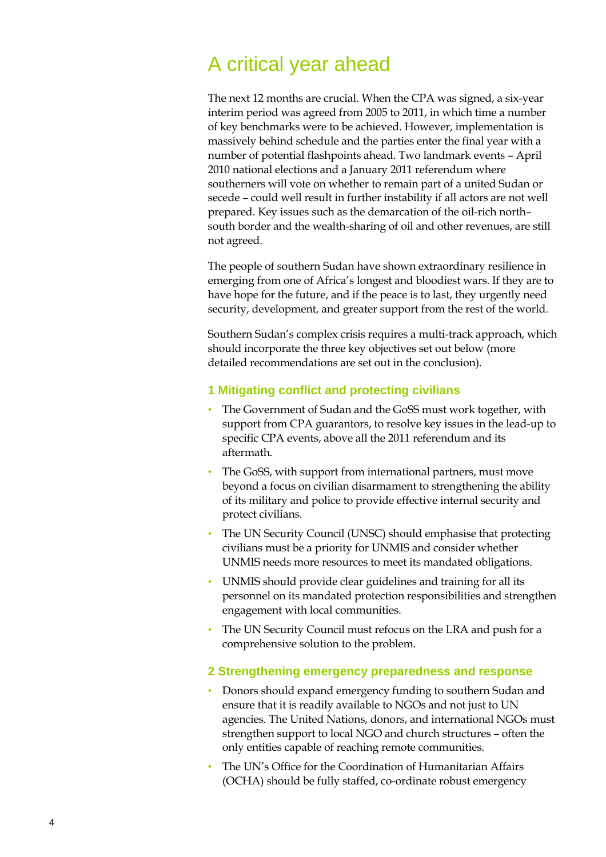## A critical year ahead

The next 12 months are crucial. When the CPA was signed, a six-year interim period was agreed from 2005 to 2011, in which time a number of key benchmarks were to be achieved. However, implementation is massively behind schedule and the parties enter the final year with a number of potential flashpoints ahead. Two landmark events – April 2010 national elections and a January 2011 referendum where southerners will vote on whether to remain part of a united Sudan or secede – could well result in further instability if all actors are not well prepared. Key issues such as the demarcation of the oil-rich north– south border and the wealth-sharing of oil and other revenues, are still not agreed.

The people of southern Sudan have shown extraordinary resilience in emerging from one of Africa's longest and bloodiest wars. If they are to have hope for the future, and if the peace is to last, they urgently need security, development, and greater support from the rest of the world.

Southern Sudan's complex crisis requires a multi-track approach, which should incorporate the three key objectives set out below (more detailed recommendations are set out in the conclusion).

#### **1 Mitigating conflict and protecting civilians**

- The Government of Sudan and the GoSS must work together, with support from CPA guarantors, to resolve key issues in the lead-up to specific CPA events, above all the 2011 referendum and its aftermath.
- The GoSS, with support from international partners, must move beyond a focus on civilian disarmament to strengthening the ability of its military and police to provide effective internal security and protect civilians.
- The UN Security Council (UNSC) should emphasise that protecting civilians must be a priority for UNMIS and consider whether UNMIS needs more resources to meet its mandated obligations.
- UNMIS should provide clear guidelines and training for all its personnel on its mandated protection responsibilities and strengthen engagement with local communities.
- The UN Security Council must refocus on the LRA and push for a comprehensive solution to the problem.

#### **2 Strengthening emergency preparedness and response**

- Donors should expand emergency funding to southern Sudan and ensure that it is readily available to NGOs and not just to UN agencies. The United Nations, donors, and international NGOs must strengthen support to local NGO and church structures – often the only entities capable of reaching remote communities.
- The UN's Office for the Coordination of Humanitarian Affairs (OCHA) should be fully staffed, co-ordinate robust emergency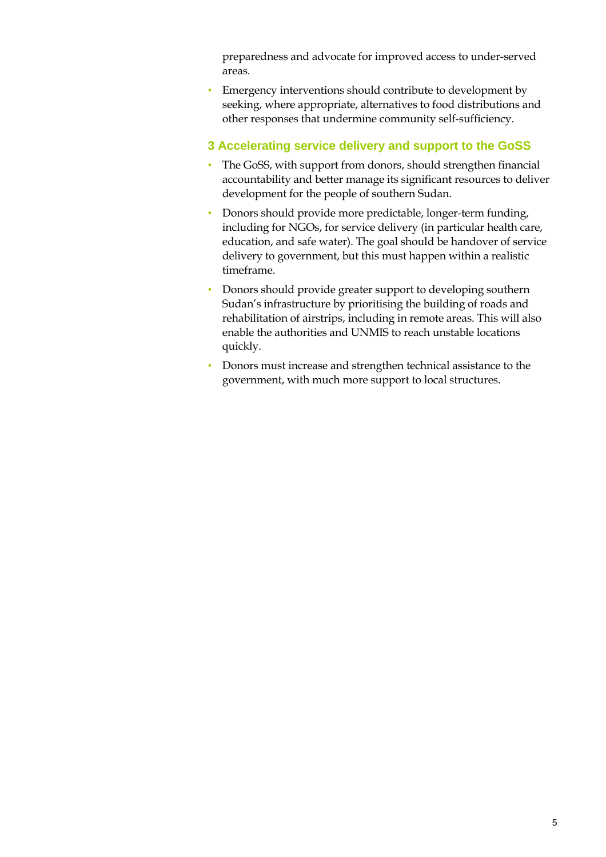preparedness and advocate for improved access to under-served areas.

• Emergency interventions should contribute to development by seeking, where appropriate, alternatives to food distributions and other responses that undermine community self-sufficiency.

#### **3 Accelerating service delivery and support to the GoSS**

- The GoSS, with support from donors, should strengthen financial accountability and better manage its significant resources to deliver development for the people of southern Sudan.
- Donors should provide more predictable, longer-term funding, including for NGOs, for service delivery (in particular health care, education, and safe water). The goal should be handover of service delivery to government, but this must happen within a realistic timeframe.
- Donors should provide greater support to developing southern Sudan's infrastructure by prioritising the building of roads and rehabilitation of airstrips, including in remote areas. This will also enable the authorities and UNMIS to reach unstable locations quickly.
- Donors must increase and strengthen technical assistance to the government, with much more support to local structures.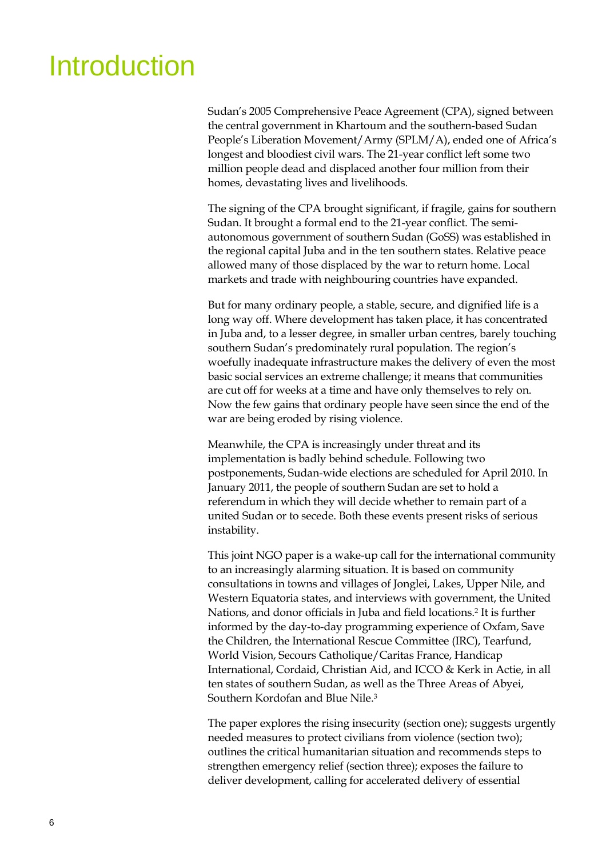# **Introduction**

Sudan's 2005 Comprehensive Peace Agreement (CPA), signed between the central government in Khartoum and the southern-based Sudan People's Liberation Movement/Army (SPLM/A), ended one of Africa's longest and bloodiest civil wars. The 21-year conflict left some two million people dead and displaced another four million from their homes, devastating lives and livelihoods.

The signing of the CPA brought significant, if fragile, gains for southern Sudan. It brought a formal end to the 21-year conflict. The semiautonomous government of southern Sudan (GoSS) was established in the regional capital Juba and in the ten southern states. Relative peace allowed many of those displaced by the war to return home. Local markets and trade with neighbouring countries have expanded.

But for many ordinary people, a stable, secure, and dignified life is a long way off. Where development has taken place, it has concentrated in Juba and, to a lesser degree, in smaller urban centres, barely touching southern Sudan's predominately rural population. The region's woefully inadequate infrastructure makes the delivery of even the most basic social services an extreme challenge; it means that communities are cut off for weeks at a time and have only themselves to rely on. Now the few gains that ordinary people have seen since the end of the war are being eroded by rising violence.

Meanwhile, the CPA is increasingly under threat and its implementation is badly behind schedule. Following two postponements, Sudan-wide elections are scheduled for April 2010. In January 2011, the people of southern Sudan are set to hold a referendum in which they will decide whether to remain part of a united Sudan or to secede. Both these events present risks of serious instability.

This joint NGO paper is a wake-up call for the international community to an increasingly alarming situation. It is based on community consultations in towns and villages of Jonglei, Lakes, Upper Nile, and Western Equatoria states, and interviews with government, the United Nations, and donor officials in Juba and field locations.2 It is further informed by the day-to-day programming experience of Oxfam, Save the Children, the International Rescue Committee (IRC), Tearfund, World Vision, Secours Catholique/Caritas France, Handicap International, Cordaid, Christian Aid, and ICCO & Kerk in Actie, in all ten states of southern Sudan, as well as the Three Areas of Abyei, Southern Kordofan and Blue Nile.3

The paper explores the rising insecurity (section one); suggests urgently needed measures to protect civilians from violence (section two); outlines the critical humanitarian situation and recommends steps to strengthen emergency relief (section three); exposes the failure to deliver development, calling for accelerated delivery of essential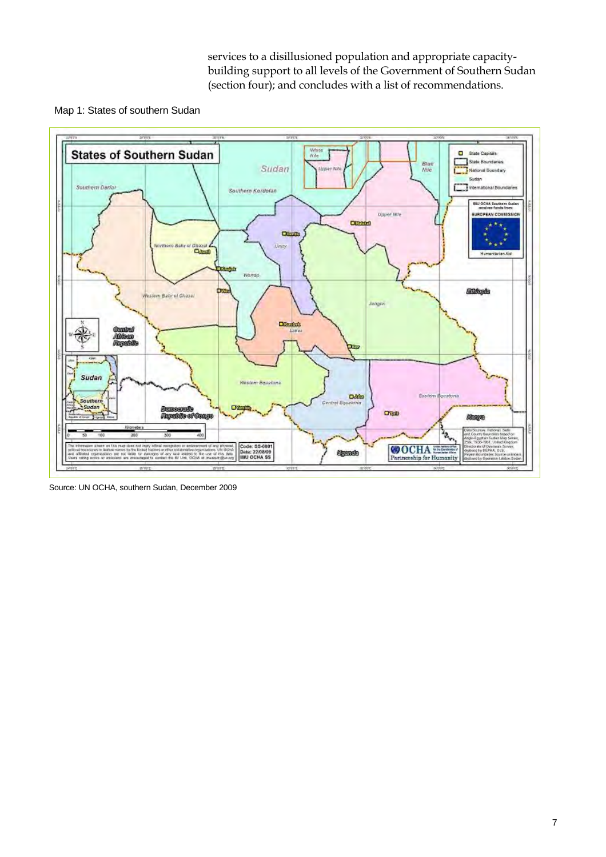services to a disillusioned population and appropriate capacitybuilding support to all levels of the Government of Southern Sudan (section four); and concludes with a list of recommendations.

Map 1: States of southern Sudan



Source: UN OCHA, southern Sudan, December 2009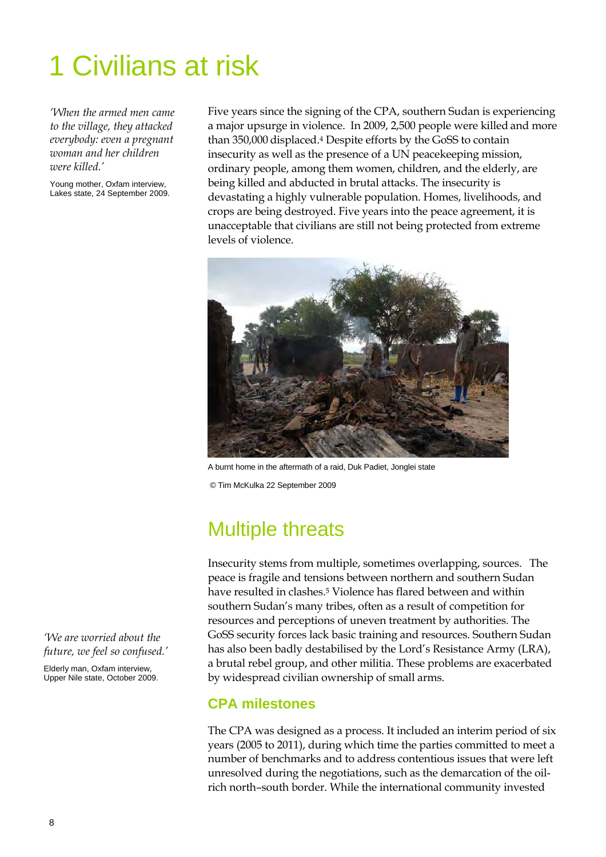# 1 Civilians at risk

*'When the armed men came to the village, they attacked everybody: even a pregnant woman and her children were killed.'* 

Young mother, Oxfam interview, Lakes state, 24 September 2009. Five years since the signing of the CPA, southern Sudan is experiencing a major upsurge in violence. In 2009, 2,500 people were killed and more than 350,000 displaced.4 Despite efforts by the GoSS to contain insecurity as well as the presence of a UN peacekeeping mission, ordinary people, among them women, children, and the elderly, are being killed and abducted in brutal attacks. The insecurity is devastating a highly vulnerable population. Homes, livelihoods, and crops are being destroyed. Five years into the peace agreement, it is unacceptable that civilians are still not being protected from extreme levels of violence.



A burnt home in the aftermath of a raid, Duk Padiet, Jonglei state

© Tim McKulka 22 September 2009

## Multiple threats

Insecurity stems from multiple, sometimes overlapping, sources.The peace is fragile and tensions between northern and southern Sudan have resulted in clashes.<sup>5</sup> Violence has flared between and within southern Sudan's many tribes, often as a result of competition for resources and perceptions of uneven treatment by authorities. The GoSS security forces lack basic training and resources. Southern Sudan has also been badly destabilised by the Lord's Resistance Army (LRA), a brutal rebel group, and other militia. These problems are exacerbated by widespread civilian ownership of small arms.

#### **CPA milestones**

The CPA was designed as a process. It included an interim period of six years (2005 to 2011), during which time the parties committed to meet a number of benchmarks and to address contentious issues that were left unresolved during the negotiations, such as the demarcation of the oilrich north–south border. While the international community invested

*'We are worried about the future, we feel so confused.'*

Elderly man, Oxfam interview, Upper Nile state, October 2009.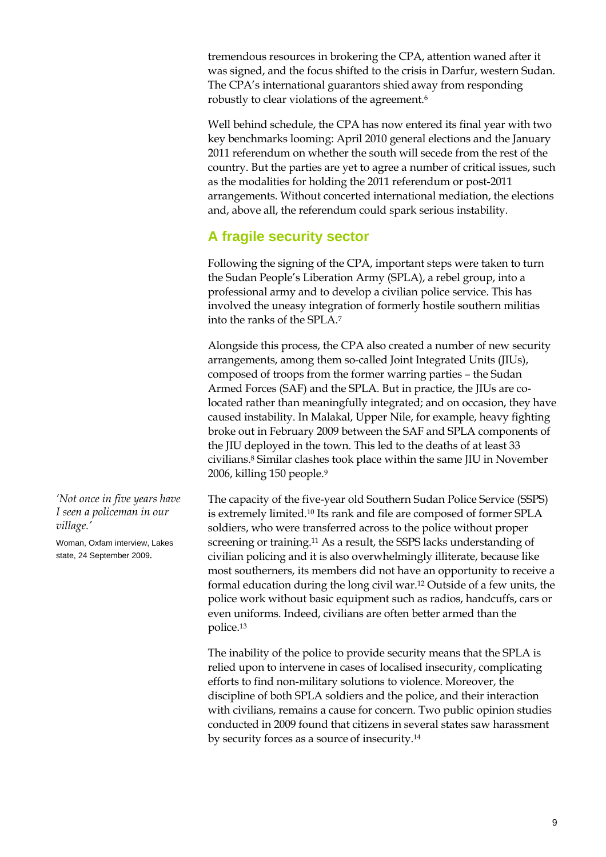tremendous resources in brokering the CPA, attention waned after it was signed, and the focus shifted to the crisis in Darfur, western Sudan. The CPA's international guarantors shied away from responding robustly to clear violations of the agreement.6

Well behind schedule, the CPA has now entered its final year with two key benchmarks looming: April 2010 general elections and the January 2011 referendum on whether the south will secede from the rest of the country. But the parties are yet to agree a number of critical issues, such as the modalities for holding the 2011 referendum or post-2011 arrangements. Without concerted international mediation, the elections and, above all, the referendum could spark serious instability.

### **A fragile security sector**

Following the signing of the CPA, important steps were taken to turn the Sudan People's Liberation Army (SPLA), a rebel group, into a professional army and to develop a civilian police service. This has involved the uneasy integration of formerly hostile southern militias into the ranks of the SPLA.7

Alongside this process, the CPA also created a number of new security arrangements, among them so-called Joint Integrated Units (JIUs), composed of troops from the former warring parties – the Sudan Armed Forces (SAF) and the SPLA. But in practice, the JIUs are colocated rather than meaningfully integrated; and on occasion, they have caused instability. In Malakal, Upper Nile, for example, heavy fighting broke out in February 2009 between the SAF and SPLA components of the JIU deployed in the town. This led to the deaths of at least 33 civilians.8 Similar clashes took place within the same JIU in November 2006, killing 150 people.9

The capacity of the five-year old Southern Sudan Police Service (SSPS) is extremely limited.10 Its rank and file are composed of former SPLA soldiers, who were transferred across to the police without proper screening or training.<sup>11</sup> As a result, the SSPS lacks understanding of civilian policing and it is also overwhelmingly illiterate, because like most southerners, its members did not have an opportunity to receive a formal education during the long civil war.12 Outside of a few units, the police work without basic equipment such as radios, handcuffs, cars or even uniforms. Indeed, civilians are often better armed than the police.13

The inability of the police to provide security means that the SPLA is relied upon to intervene in cases of localised insecurity, complicating efforts to find non-military solutions to violence. Moreover, the discipline of both SPLA soldiers and the police, and their interaction with civilians, remains a cause for concern. Two public opinion studies conducted in 2009 found that citizens in several states saw harassment by security forces as a source of insecurity.14

*'Not once in five years have I seen a policeman in our village.'* 

Woman, Oxfam interview, Lakes state, 24 September 2009*.*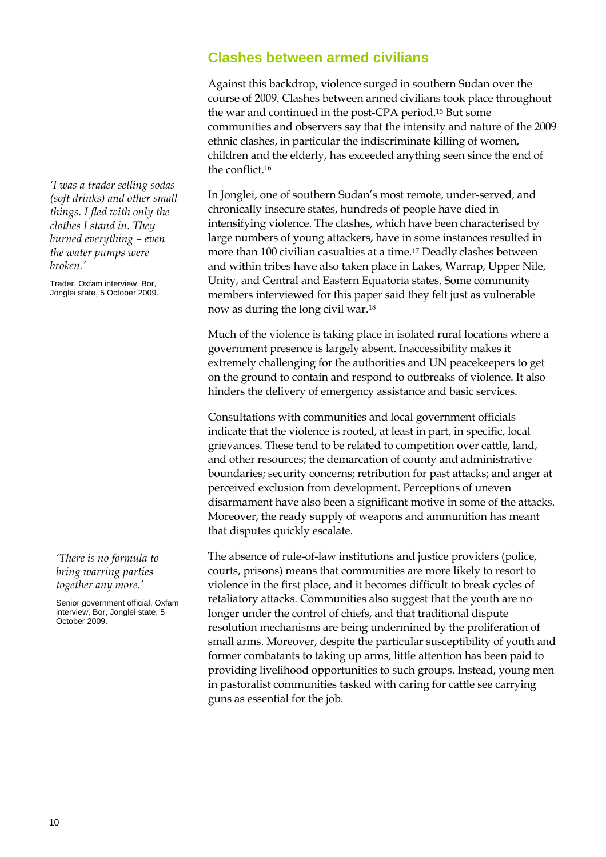*'I was a trader selling sodas (soft drinks) and other small things. I fled with only the clothes I stand in. They burned everything – even the water pumps were broken.'* 

Trader, Oxfam interview, Bor, Jonglei state, 5 October 2009.

*'There is no formula to bring warring parties together any more.'* 

Senior government official, Oxfam interview, Bor, Jonglei state, 5 October 2009.

### **Clashes between armed civilians**

Against this backdrop, violence surged in southern Sudan over the course of 2009. Clashes between armed civilians took place throughout the war and continued in the post-CPA period.15 But some communities and observers say that the intensity and nature of the 2009 ethnic clashes, in particular the indiscriminate killing of women, children and the elderly, has exceeded anything seen since the end of the conflict.16

In Jonglei, one of southern Sudan's most remote, under-served, and chronically insecure states, hundreds of people have died in intensifying violence. The clashes, which have been characterised by large numbers of young attackers, have in some instances resulted in more than 100 civilian casualties at a time.17 Deadly clashes between and within tribes have also taken place in Lakes, Warrap, Upper Nile, Unity, and Central and Eastern Equatoria states. Some community members interviewed for this paper said they felt just as vulnerable now as during the long civil war.18

Much of the violence is taking place in isolated rural locations where a government presence is largely absent. Inaccessibility makes it extremely challenging for the authorities and UN peacekeepers to get on the ground to contain and respond to outbreaks of violence. It also hinders the delivery of emergency assistance and basic services.

Consultations with communities and local government officials indicate that the violence is rooted, at least in part, in specific, local grievances. These tend to be related to competition over cattle, land, and other resources; the demarcation of county and administrative boundaries; security concerns; retribution for past attacks; and anger at perceived exclusion from development. Perceptions of uneven disarmament have also been a significant motive in some of the attacks. Moreover, the ready supply of weapons and ammunition has meant that disputes quickly escalate.

The absence of rule-of-law institutions and justice providers (police, courts, prisons) means that communities are more likely to resort to violence in the first place, and it becomes difficult to break cycles of retaliatory attacks. Communities also suggest that the youth are no longer under the control of chiefs, and that traditional dispute resolution mechanisms are being undermined by the proliferation of small arms. Moreover, despite the particular susceptibility of youth and former combatants to taking up arms, little attention has been paid to providing livelihood opportunities to such groups. Instead, young men in pastoralist communities tasked with caring for cattle see carrying guns as essential for the job.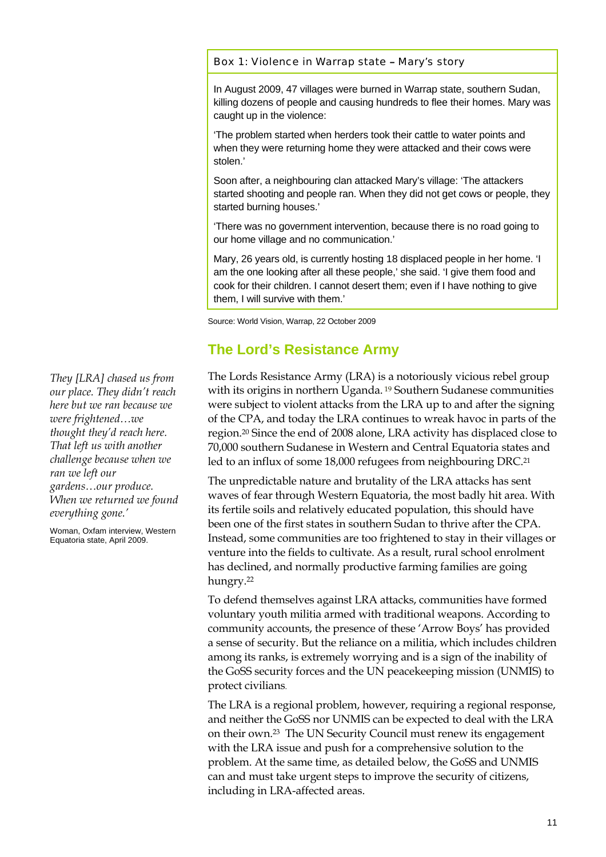#### Box 1: Violence in Warrap state – Mary's story

In August 2009, 47 villages were burned in Warrap state, southern Sudan, killing dozens of people and causing hundreds to flee their homes. Mary was caught up in the violence:

'The problem started when herders took their cattle to water points and when they were returning home they were attacked and their cows were stolen.'

Soon after, a neighbouring clan attacked Mary's village: 'The attackers started shooting and people ran. When they did not get cows or people, they started burning houses.'

'There was no government intervention, because there is no road going to our home village and no communication.'

Mary, 26 years old, is currently hosting 18 displaced people in her home. 'I am the one looking after all these people,' she said. 'I give them food and cook for their children. I cannot desert them; even if I have nothing to give them, I will survive with them.'

Source: World Vision, Warrap, 22 October 2009

### **The Lord's Resistance Army**

The Lords Resistance Army (LRA) is a notoriously vicious rebel group with its origins in northern Uganda.<sup>19</sup> Southern Sudanese communities were subject to violent attacks from the LRA up to and after the signing of the CPA, and today the LRA continues to wreak havoc in parts of the region.20 Since the end of 2008 alone, LRA activity has displaced close to 70,000 southern Sudanese in Western and Central Equatoria states and led to an influx of some 18,000 refugees from neighbouring DRC.<sup>21</sup>

The unpredictable nature and brutality of the LRA attacks has sent waves of fear through Western Equatoria, the most badly hit area. With its fertile soils and relatively educated population, this should have been one of the first states in southern Sudan to thrive after the CPA. Instead, some communities are too frightened to stay in their villages or venture into the fields to cultivate. As a result, rural school enrolment has declined, and normally productive farming families are going hungry.22

To defend themselves against LRA attacks, communities have formed voluntary youth militia armed with traditional weapons. According to community accounts, the presence of these 'Arrow Boys' has provided a sense of security. But the reliance on a militia, which includes children among its ranks, is extremely worrying and is a sign of the inability of the GoSS security forces and the UN peacekeeping mission (UNMIS) to protect civilians.

The LRA is a regional problem, however, requiring a regional response, and neither the GoSS nor UNMIS can be expected to deal with the LRA on their own.23 The UN Security Council must renew its engagement with the LRA issue and push for a comprehensive solution to the problem. At the same time, as detailed below, the GoSS and UNMIS can and must take urgent steps to improve the security of citizens, including in LRA-affected areas.

*They [LRA] chased us from our place. They didn't reach here but we ran because we were frightened…we thought they'd reach here. That left us with another challenge because when we ran we left our gardens…our produce. When we returned we found everything gone.'* 

Woman, Oxfam interview, Western Equatoria state, April 2009.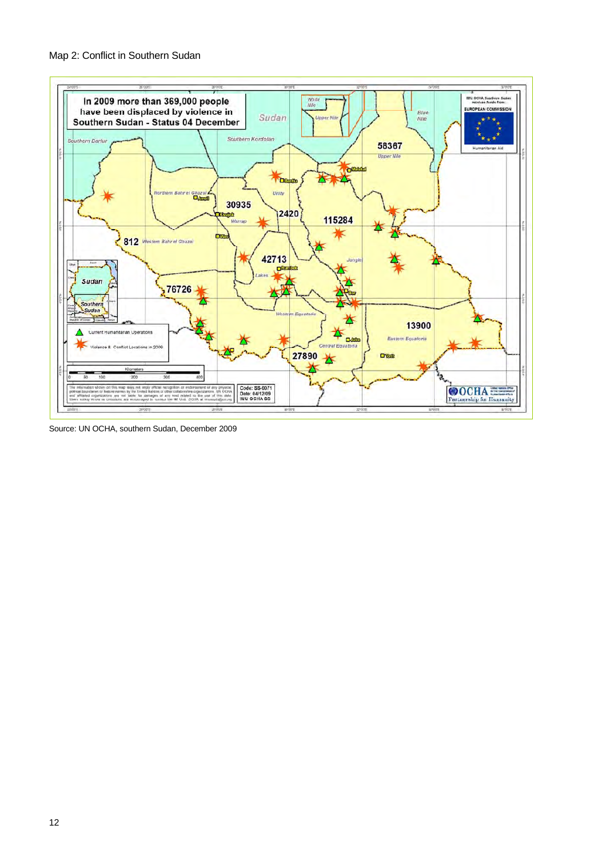

Source: UN OCHA, southern Sudan, December 2009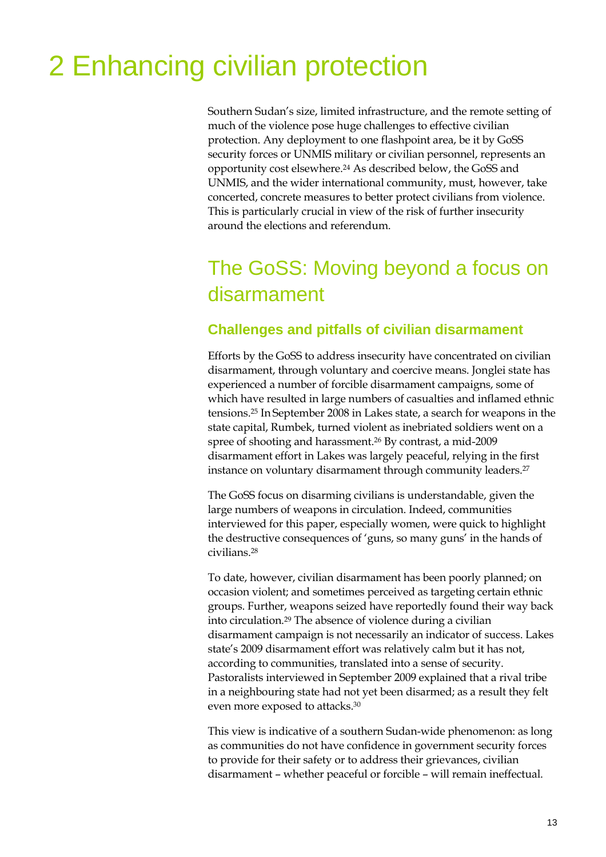# 2 Enhancing civilian protection

Southern Sudan's size, limited infrastructure, and the remote setting of much of the violence pose huge challenges to effective civilian protection. Any deployment to one flashpoint area, be it by GoSS security forces or UNMIS military or civilian personnel, represents an opportunity cost elsewhere.24 As described below, the GoSS and UNMIS, and the wider international community, must, however, take concerted, concrete measures to better protect civilians from violence. This is particularly crucial in view of the risk of further insecurity around the elections and referendum.

# The GoSS: Moving beyond a focus on disarmament

### **Challenges and pitfalls of civilian disarmament**

Efforts by the GoSS to address insecurity have concentrated on civilian disarmament, through voluntary and coercive means. Jonglei state has experienced a number of forcible disarmament campaigns, some of which have resulted in large numbers of casualties and inflamed ethnic tensions.25 In September 2008 in Lakes state, a search for weapons in the state capital, Rumbek, turned violent as inebriated soldiers went on a spree of shooting and harassment.26 By contrast, a mid-2009 disarmament effort in Lakes was largely peaceful, relying in the first instance on voluntary disarmament through community leaders.<sup>27</sup>

The GoSS focus on disarming civilians is understandable, given the large numbers of weapons in circulation. Indeed, communities interviewed for this paper, especially women, were quick to highlight the destructive consequences of 'guns, so many guns' in the hands of civilians.28

To date, however, civilian disarmament has been poorly planned; on occasion violent; and sometimes perceived as targeting certain ethnic groups. Further, weapons seized have reportedly found their way back into circulation.29 The absence of violence during a civilian disarmament campaign is not necessarily an indicator of success. Lakes state's 2009 disarmament effort was relatively calm but it has not, according to communities, translated into a sense of security. Pastoralists interviewed in September 2009 explained that a rival tribe in a neighbouring state had not yet been disarmed; as a result they felt even more exposed to attacks.30

This view is indicative of a southern Sudan-wide phenomenon: as long as communities do not have confidence in government security forces to provide for their safety or to address their grievances, civilian disarmament – whether peaceful or forcible – will remain ineffectual.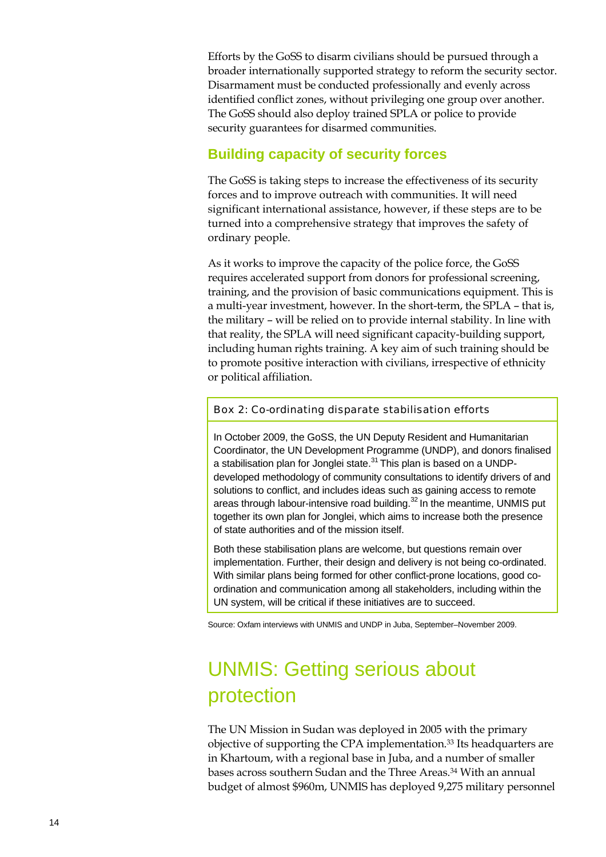Efforts by the GoSS to disarm civilians should be pursued through a broader internationally supported strategy to reform the security sector. Disarmament must be conducted professionally and evenly across identified conflict zones, without privileging one group over another. The GoSS should also deploy trained SPLA or police to provide security guarantees for disarmed communities.

### **Building capacity of security forces**

The GoSS is taking steps to increase the effectiveness of its security forces and to improve outreach with communities. It will need significant international assistance, however, if these steps are to be turned into a comprehensive strategy that improves the safety of ordinary people.

As it works to improve the capacity of the police force, the GoSS requires accelerated support from donors for professional screening, training, and the provision of basic communications equipment. This is a multi-year investment, however. In the short-term, the SPLA – that is, the military – will be relied on to provide internal stability. In line with that reality, the SPLA will need significant capacity-building support, including human rights training. A key aim of such training should be to promote positive interaction with civilians, irrespective of ethnicity or political affiliation.

#### Box 2: Co-ordinating disparate stabilisation efforts

In October 2009, the GoSS, the UN Deputy Resident and Humanitarian Coordinator, the UN Development Programme (UNDP), and donors finalised a stabilisation plan for Jonglei state.<sup>31</sup> This plan is based on a UNDPdeveloped methodology of community consultations to identify drivers of and solutions to conflict, and includes ideas such as gaining access to remote areas through labour-intensive road building. $32$  In the meantime, UNMIS put together its own plan for Jonglei, which aims to increase both the presence of state authorities and of the mission itself.

Both these stabilisation plans are welcome, but questions remain over implementation. Further, their design and delivery is not being co-ordinated. With similar plans being formed for other conflict-prone locations, good coordination and communication among all stakeholders, including within the UN system, will be critical if these initiatives are to succeed.

Source: Oxfam interviews with UNMIS and UNDP in Juba, September–November 2009.

# UNMIS: Getting serious about protection

The UN Mission in Sudan was deployed in 2005 with the primary objective of supporting the CPA implementation.33 Its headquarters are in Khartoum, with a regional base in Juba, and a number of smaller bases across southern Sudan and the Three Areas.34 With an annual budget of almost \$960m, UNMIS has deployed 9,275 military personnel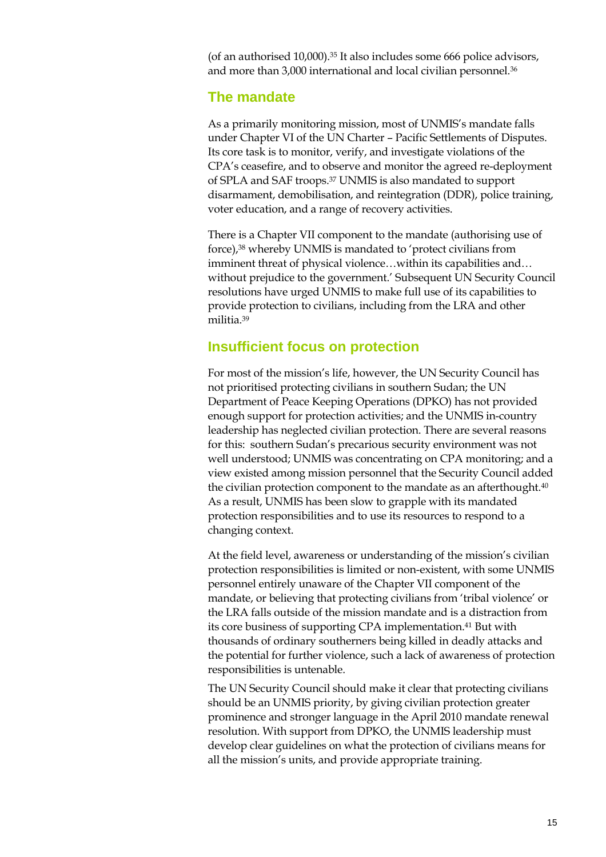(of an authorised 10,000).35 It also includes some 666 police advisors, and more than 3,000 international and local civilian personnel.36

#### **The mandate**

As a primarily monitoring mission, most of UNMIS's mandate falls under Chapter VI of the UN Charter – Pacific Settlements of Disputes. Its core task is to monitor, verify, and investigate violations of the CPA's ceasefire, and to observe and monitor the agreed re-deployment of SPLA and SAF troops.37 UNMIS is also mandated to support disarmament, demobilisation, and reintegration (DDR), police training, voter education, and a range of recovery activities.

There is a Chapter VII component to the mandate (authorising use of force),<sup>38</sup> whereby UNMIS is mandated to 'protect civilians from imminent threat of physical violence…within its capabilities and… without prejudice to the government.' Subsequent UN Security Council resolutions have urged UNMIS to make full use of its capabilities to provide protection to civilians, including from the LRA and other militia<sup>39</sup>

#### **Insufficient focus on protection**

For most of the mission's life, however, the UN Security Council has not prioritised protecting civilians in southern Sudan; the UN Department of Peace Keeping Operations (DPKO) has not provided enough support for protection activities; and the UNMIS in-country leadership has neglected civilian protection. There are several reasons for this: southern Sudan's precarious security environment was not well understood; UNMIS was concentrating on CPA monitoring; and a view existed among mission personnel that the Security Council added the civilian protection component to the mandate as an afterthought.<sup>40</sup> As a result, UNMIS has been slow to grapple with its mandated protection responsibilities and to use its resources to respond to a changing context.

At the field level, awareness or understanding of the mission's civilian protection responsibilities is limited or non-existent, with some UNMIS personnel entirely unaware of the Chapter VII component of the mandate, or believing that protecting civilians from 'tribal violence' or the LRA falls outside of the mission mandate and is a distraction from its core business of supporting CPA implementation.<sup>41</sup> But with thousands of ordinary southerners being killed in deadly attacks and the potential for further violence, such a lack of awareness of protection responsibilities is untenable.

The UN Security Council should make it clear that protecting civilians should be an UNMIS priority, by giving civilian protection greater prominence and stronger language in the April 2010 mandate renewal resolution. With support from DPKO, the UNMIS leadership must develop clear guidelines on what the protection of civilians means for all the mission's units, and provide appropriate training.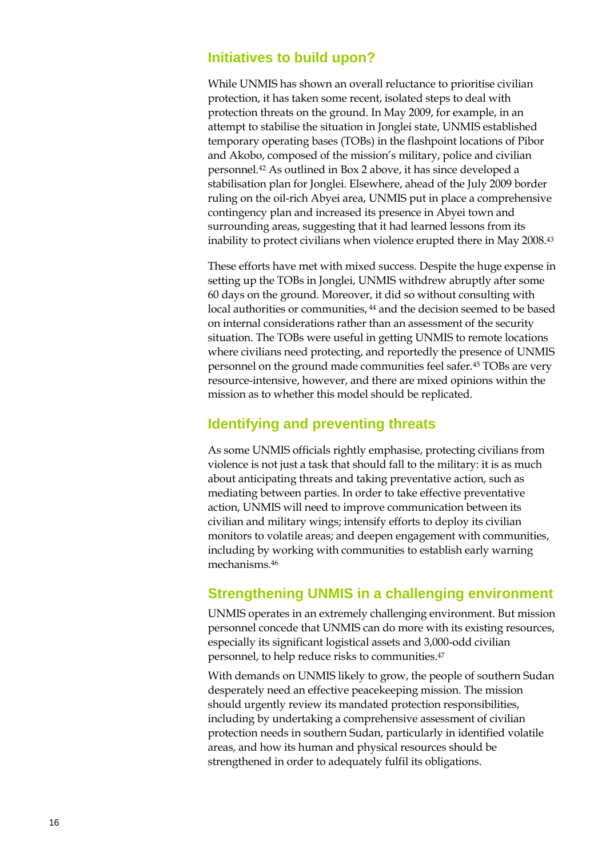#### **Initiatives to build upon?**

While UNMIS has shown an overall reluctance to prioritise civilian protection, it has taken some recent, isolated steps to deal with protection threats on the ground. In May 2009, for example, in an attempt to stabilise the situation in Jonglei state, UNMIS established temporary operating bases (TOBs) in the flashpoint locations of Pibor and Akobo, composed of the mission's military, police and civilian personnel.42 As outlined in Box 2 above, it has since developed a stabilisation plan for Jonglei. Elsewhere, ahead of the July 2009 border ruling on the oil-rich Abyei area, UNMIS put in place a comprehensive contingency plan and increased its presence in Abyei town and surrounding areas, suggesting that it had learned lessons from its inability to protect civilians when violence erupted there in May 2008.43

These efforts have met with mixed success. Despite the huge expense in setting up the TOBs in Jonglei, UNMIS withdrew abruptly after some 60 days on the ground. Moreover, it did so without consulting with local authorities or communities, 44 and the decision seemed to be based on internal considerations rather than an assessment of the security situation. The TOBs were useful in getting UNMIS to remote locations where civilians need protecting, and reportedly the presence of UNMIS personnel on the ground made communities feel safer.45 TOBs are very resource-intensive, however, and there are mixed opinions within the mission as to whether this model should be replicated.

#### **Identifying and preventing threats**

As some UNMIS officials rightly emphasise, protecting civilians from violence is not just a task that should fall to the military: it is as much about anticipating threats and taking preventative action, such as mediating between parties. In order to take effective preventative action, UNMIS will need to improve communication between its civilian and military wings; intensify efforts to deploy its civilian monitors to volatile areas; and deepen engagement with communities, including by working with communities to establish early warning mechanisms 46

### **Strengthening UNMIS in a challenging environment**

UNMIS operates in an extremely challenging environment. But mission personnel concede that UNMIS can do more with its existing resources, especially its significant logistical assets and 3,000-odd civilian personnel, to help reduce risks to communities.47

With demands on UNMIS likely to grow, the people of southern Sudan desperately need an effective peacekeeping mission. The mission should urgently review its mandated protection responsibilities, including by undertaking a comprehensive assessment of civilian protection needs in southern Sudan, particularly in identified volatile areas, and how its human and physical resources should be strengthened in order to adequately fulfil its obligations.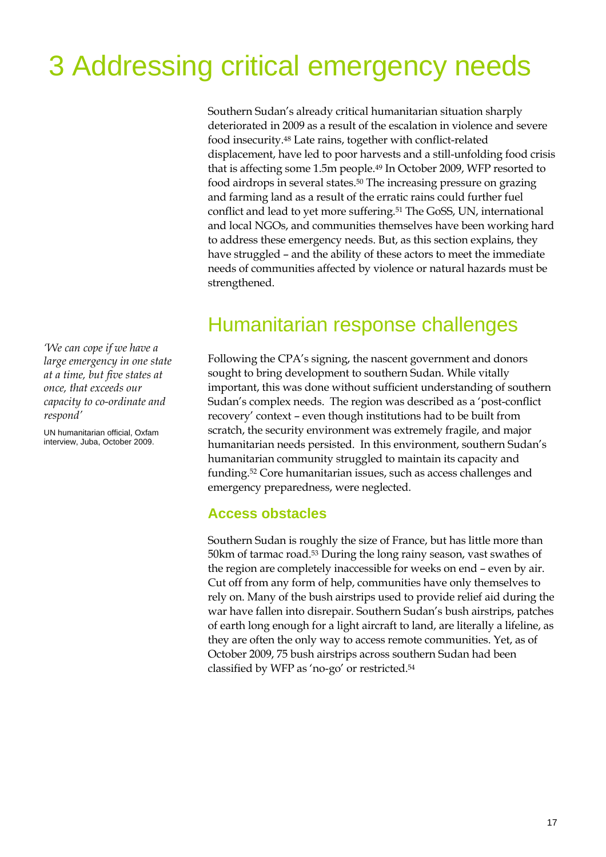# 3 Addressing critical emergency needs

Southern Sudan's already critical humanitarian situation sharply deteriorated in 2009 as a result of the escalation in violence and severe food insecurity.48 Late rains, together with conflict-related displacement, have led to poor harvests and a still-unfolding food crisis that is affecting some 1.5m people.49 In October 2009, WFP resorted to food airdrops in several states.50 The increasing pressure on grazing and farming land as a result of the erratic rains could further fuel conflict and lead to yet more suffering.<sup>51</sup> The GoSS, UN, international and local NGOs, and communities themselves have been working hard to address these emergency needs. But, as this section explains, they have struggled – and the ability of these actors to meet the immediate needs of communities affected by violence or natural hazards must be strengthened.

Humanitarian response challenges

Following the CPA's signing, the nascent government and donors sought to bring development to southern Sudan. While vitally important, this was done without sufficient understanding of southern Sudan's complex needs. The region was described as a 'post-conflict recovery' context – even though institutions had to be built from scratch, the security environment was extremely fragile, and major humanitarian needs persisted. In this environment, southern Sudan's humanitarian community struggled to maintain its capacity and funding.52 Core humanitarian issues, such as access challenges and emergency preparedness, were neglected.

#### **Access obstacles**

Southern Sudan is roughly the size of France, but has little more than 50km of tarmac road.<sup>53</sup> During the long rainy season, vast swathes of the region are completely inaccessible for weeks on end – even by air. Cut off from any form of help, communities have only themselves to rely on. Many of the bush airstrips used to provide relief aid during the war have fallen into disrepair. Southern Sudan's bush airstrips, patches of earth long enough for a light aircraft to land, are literally a lifeline, as they are often the only way to access remote communities. Yet, as of October 2009, 75 bush airstrips across southern Sudan had been classified by WFP as 'no-go' or restricted.54

*'We can cope if we have a large emergency in one state at a time, but five states at once, that exceeds our capacity to co-ordinate and respond'*

UN humanitarian official, Oxfam interview, Juba, October 2009.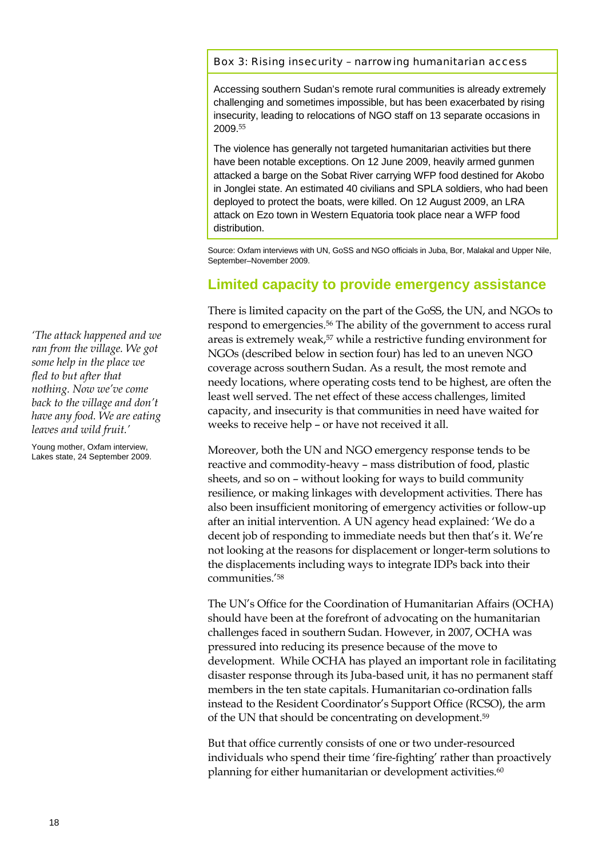#### Box 3: Rising insecurity – narrowing humanitarian access

Accessing southern Sudan's remote rural communities is already extremely challenging and sometimes impossible, but has been exacerbated by rising insecurity, leading to relocations of NGO staff on 13 separate occasions in 2009.55

The violence has generally not targeted humanitarian activities but there have been notable exceptions. On 12 June 2009, heavily armed gunmen attacked a barge on the Sobat River carrying WFP food destined for Akobo in Jonglei state. An estimated 40 civilians and SPLA soldiers, who had been deployed to protect the boats, were killed. On 12 August 2009, an LRA attack on Ezo town in Western Equatoria took place near a WFP food distribution.

Source: Oxfam interviews with UN, GoSS and NGO officials in Juba, Bor, Malakal and Upper Nile, September–November 2009.

#### **Limited capacity to provide emergency assistance**

There is limited capacity on the part of the GoSS, the UN, and NGOs to respond to emergencies.56 The ability of the government to access rural areas is extremely weak,57 while a restrictive funding environment for NGOs (described below in section four) has led to an uneven NGO coverage across southern Sudan. As a result, the most remote and needy locations, where operating costs tend to be highest, are often the least well served. The net effect of these access challenges, limited capacity, and insecurity is that communities in need have waited for weeks to receive help – or have not received it all.

Moreover, both the UN and NGO emergency response tends to be reactive and commodity-heavy – mass distribution of food, plastic sheets, and so on – without looking for ways to build community resilience, or making linkages with development activities. There has also been insufficient monitoring of emergency activities or follow-up after an initial intervention. A UN agency head explained: 'We do a decent job of responding to immediate needs but then that's it. We're not looking at the reasons for displacement or longer-term solutions to the displacements including ways to integrate IDPs back into their communities.'58

The UN's Office for the Coordination of Humanitarian Affairs (OCHA) should have been at the forefront of advocating on the humanitarian challenges faced in southern Sudan. However, in 2007, OCHA was pressured into reducing its presence because of the move to development. While OCHA has played an important role in facilitating disaster response through its Juba-based unit, it has no permanent staff members in the ten state capitals. Humanitarian co-ordination falls instead to the Resident Coordinator's Support Office (RCSO), the arm of the UN that should be concentrating on development.59

But that office currently consists of one or two under-resourced individuals who spend their time 'fire-fighting' rather than proactively planning for either humanitarian or development activities.<sup>60</sup>

*'The attack happened and we ran from the village. We got some help in the place we fled to but after that nothing. Now we've come back to the village and don't have any food. We are eating leaves and wild fruit.'* 

Young mother, Oxfam interview, Lakes state, 24 September 2009.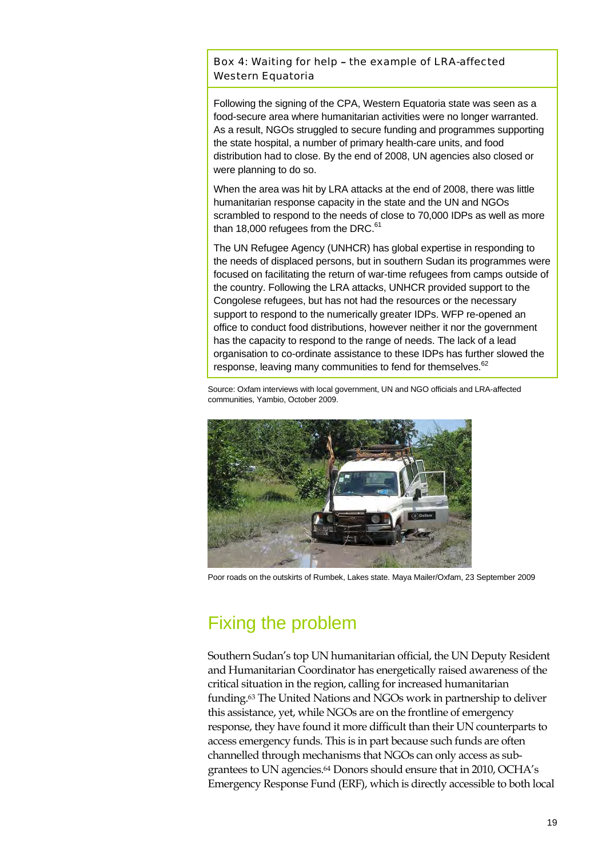#### Box 4: Waiting for help – the example of LRA-affected Western Equatoria

Following the signing of the CPA, Western Equatoria state was seen as a food-secure area where humanitarian activities were no longer warranted. As a result, NGOs struggled to secure funding and programmes supporting the state hospital, a number of primary health-care units, and food distribution had to close. By the end of 2008, UN agencies also closed or were planning to do so.

When the area was hit by LRA attacks at the end of 2008, there was little humanitarian response capacity in the state and the UN and NGOs scrambled to respond to the needs of close to 70,000 IDPs as well as more than 18,000 refugees from the DRC. $61$ 

The UN Refugee Agency (UNHCR) has global expertise in responding to the needs of displaced persons, but in southern Sudan its programmes were focused on facilitating the return of war-time refugees from camps outside of the country. Following the LRA attacks, UNHCR provided support to the Congolese refugees, but has not had the resources or the necessary support to respond to the numerically greater IDPs. WFP re-opened an office to conduct food distributions, however neither it nor the government has the capacity to respond to the range of needs. The lack of a lead organisation to co-ordinate assistance to these IDPs has further slowed the response, leaving many communities to fend for themselves.<sup>62</sup>

Source: Oxfam interviews with local government, UN and NGO officials and LRA-affected communities, Yambio, October 2009.



Poor roads on the outskirts of Rumbek, Lakes state. Maya Mailer/Oxfam, 23 September 2009

## Fixing the problem

Southern Sudan's top UN humanitarian official, the UN Deputy Resident and Humanitarian Coordinator has energetically raised awareness of the critical situation in the region, calling for increased humanitarian funding.63 The United Nations and NGOs work in partnership to deliver this assistance, yet, while NGOs are on the frontline of emergency response, they have found it more difficult than their UN counterparts to access emergency funds. This is in part because such funds are often channelled through mechanisms that NGOs can only access as subgrantees to UN agencies.64 Donors should ensure that in 2010, OCHA's Emergency Response Fund (ERF), which is directly accessible to both local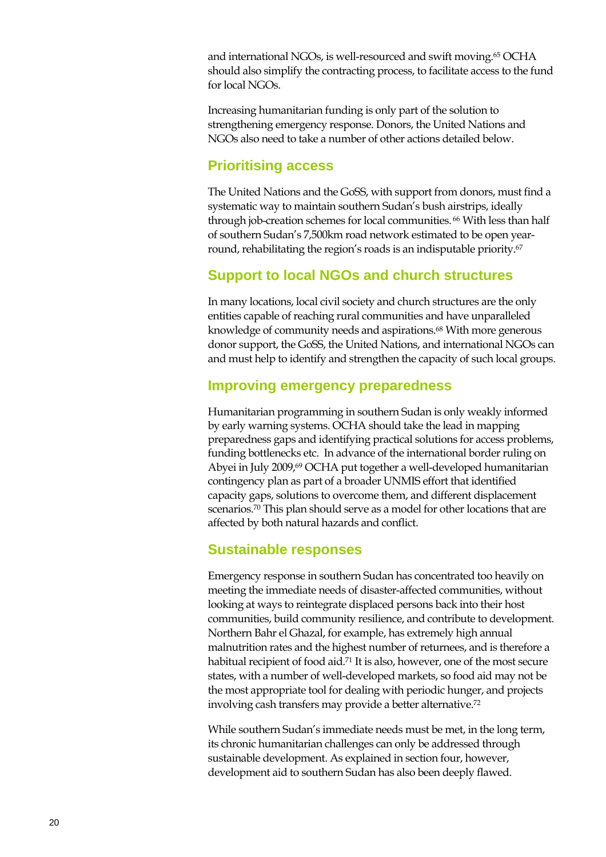and international NGOs, is well-resourced and swift moving.65 OCHA should also simplify the contracting process, to facilitate access to the fund for local NGOs.

Increasing humanitarian funding is only part of the solution to strengthening emergency response. Donors, the United Nations and NGOs also need to take a number of other actions detailed below.

### **Prioritising access**

The United Nations and the GoSS, with support from donors, must find a systematic way to maintain southern Sudan's bush airstrips, ideally through job-creation schemes for local communities. 66 With less than half of southern Sudan's 7,500km road network estimated to be open yearround, rehabilitating the region's roads is an indisputable priority.67

### **Support to local NGOs and church structures**

In many locations, local civil society and church structures are the only entities capable of reaching rural communities and have unparalleled knowledge of community needs and aspirations.<sup>68</sup> With more generous donor support, the GoSS, the United Nations, and international NGOs can and must help to identify and strengthen the capacity of such local groups.

#### **Improving emergency preparedness**

Humanitarian programming in southern Sudan is only weakly informed by early warning systems. OCHA should take the lead in mapping preparedness gaps and identifying practical solutions for access problems, funding bottlenecks etc. In advance of the international border ruling on Abyei in July 2009,69 OCHA put together a well-developed humanitarian contingency plan as part of a broader UNMIS effort that identified capacity gaps, solutions to overcome them, and different displacement scenarios.70 This plan should serve as a model for other locations that are affected by both natural hazards and conflict.

### **Sustainable responses**

Emergency response in southern Sudan has concentrated too heavily on meeting the immediate needs of disaster-affected communities, without looking at ways to reintegrate displaced persons back into their host communities, build community resilience, and contribute to development. Northern Bahr el Ghazal, for example, has extremely high annual malnutrition rates and the highest number of returnees, and is therefore a habitual recipient of food aid.<sup>71</sup> It is also, however, one of the most secure states, with a number of well-developed markets, so food aid may not be the most appropriate tool for dealing with periodic hunger, and projects involving cash transfers may provide a better alternative.72

While southern Sudan's immediate needs must be met, in the long term, its chronic humanitarian challenges can only be addressed through sustainable development. As explained in section four, however, development aid to southern Sudan has also been deeply flawed.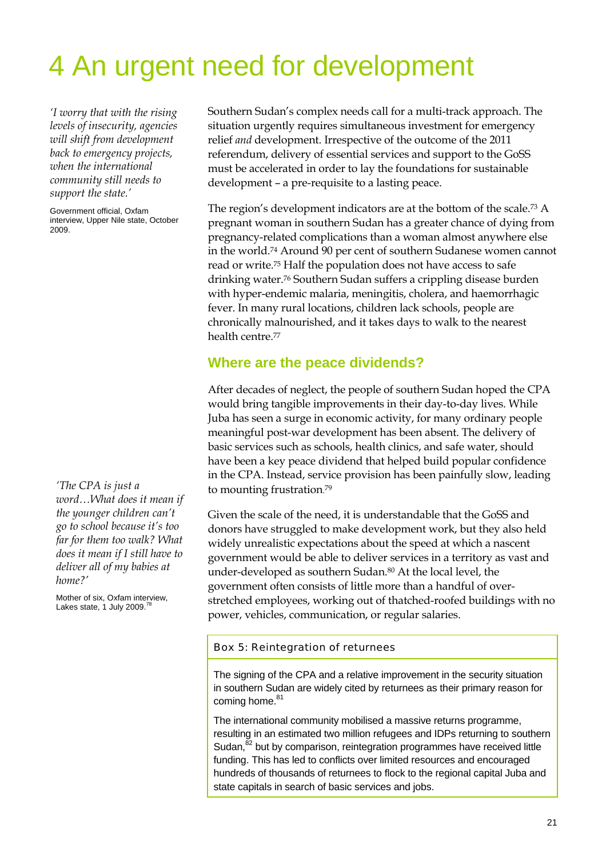# 4 An urgent need for development

*'I worry that with the rising levels of insecurity, agencies will shift from development back to emergency projects, when the international community still needs to support the state.'* 

Government official, Oxfam interview, Upper Nile state, October 2009.

*'The CPA is just a word…What does it mean if the younger children can't go to school because it's too far for them too walk? What does it mean if I still have to deliver all of my babies at home?'* 

Mother of six, Oxfam interview, Lakes state, 1 July 2009. $^7$ 

Southern Sudan's complex needs call for a multi-track approach. The situation urgently requires simultaneous investment for emergency relief *and* development. Irrespective of the outcome of the 2011 referendum, delivery of essential services and support to the GoSS must be accelerated in order to lay the foundations for sustainable development – a pre-requisite to a lasting peace.

The region's development indicators are at the bottom of the scale.73 A pregnant woman in southern Sudan has a greater chance of dying from pregnancy-related complications than a woman almost anywhere else in the world.74 Around 90 per cent of southern Sudanese women cannot read or write.75 Half the population does not have access to safe drinking water.76 Southern Sudan suffers a crippling disease burden with hyper-endemic malaria, meningitis, cholera, and haemorrhagic fever. In many rural locations, children lack schools, people are chronically malnourished, and it takes days to walk to the nearest health centre.77

### **Where are the peace dividends?**

After decades of neglect, the people of southern Sudan hoped the CPA would bring tangible improvements in their day-to-day lives. While Juba has seen a surge in economic activity, for many ordinary people meaningful post-war development has been absent. The delivery of basic services such as schools, health clinics, and safe water, should have been a key peace dividend that helped build popular confidence in the CPA. Instead, service provision has been painfully slow, leading to mounting frustration. 79

Given the scale of the need, it is understandable that the GoSS and donors have struggled to make development work, but they also held widely unrealistic expectations about the speed at which a nascent government would be able to deliver services in a territory as vast and under-developed as southern Sudan.80 At the local level, the government often consists of little more than a handful of overstretched employees, working out of thatched-roofed buildings with no power, vehicles, communication, or regular salaries.

#### Box 5: Reintegration of returnees

The signing of the CPA and a relative improvement in the security situation in southern Sudan are widely cited by returnees as their primary reason for coming home.<sup>81</sup>

The international community mobilised a massive returns programme, resulting in an estimated two million refugees and IDPs returning to southern Sudan,<sup>82</sup> but by comparison, reintegration programmes have received little funding. This has led to conflicts over limited resources and encouraged hundreds of thousands of returnees to flock to the regional capital Juba and state capitals in search of basic services and jobs.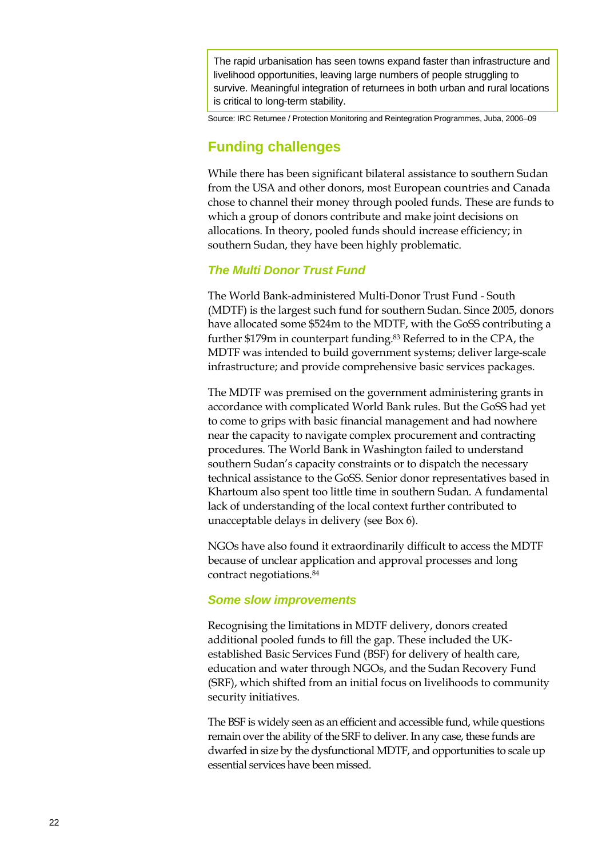The rapid urbanisation has seen towns expand faster than infrastructure and livelihood opportunities, leaving large numbers of people struggling to survive. Meaningful integration of returnees in both urban and rural locations is critical to long-term stability.

Source: IRC Returnee / Protection Monitoring and Reintegration Programmes, Juba, 2006–09

### **Funding challenges**

While there has been significant bilateral assistance to southern Sudan from the USA and other donors, most European countries and Canada chose to channel their money through pooled funds. These are funds to which a group of donors contribute and make joint decisions on allocations. In theory, pooled funds should increase efficiency; in southern Sudan, they have been highly problematic.

#### *The Multi Donor Trust Fund*

The World Bank-administered Multi-Donor Trust Fund - South (MDTF) is the largest such fund for southern Sudan. Since 2005, donors have allocated some \$524m to the MDTF, with the GoSS contributing a further \$179m in counterpart funding.<sup>83</sup> Referred to in the CPA, the MDTF was intended to build government systems; deliver large-scale infrastructure; and provide comprehensive basic services packages.

The MDTF was premised on the government administering grants in accordance with complicated World Bank rules. But the GoSS had yet to come to grips with basic financial management and had nowhere near the capacity to navigate complex procurement and contracting procedures. The World Bank in Washington failed to understand southern Sudan's capacity constraints or to dispatch the necessary technical assistance to the GoSS. Senior donor representatives based in Khartoum also spent too little time in southern Sudan. A fundamental lack of understanding of the local context further contributed to unacceptable delays in delivery (see Box 6).

NGOs have also found it extraordinarily difficult to access the MDTF because of unclear application and approval processes and long contract negotiations.84

#### *Some slow improvements*

Recognising the limitations in MDTF delivery, donors created additional pooled funds to fill the gap. These included the UKestablished Basic Services Fund (BSF) for delivery of health care, education and water through NGOs, and the Sudan Recovery Fund (SRF), which shifted from an initial focus on livelihoods to community security initiatives.

The BSF is widely seen as an efficient and accessible fund, while questions remain over the ability of the SRF to deliver. In any case, these funds are dwarfed in size by the dysfunctional MDTF, and opportunities to scale up essential services have been missed.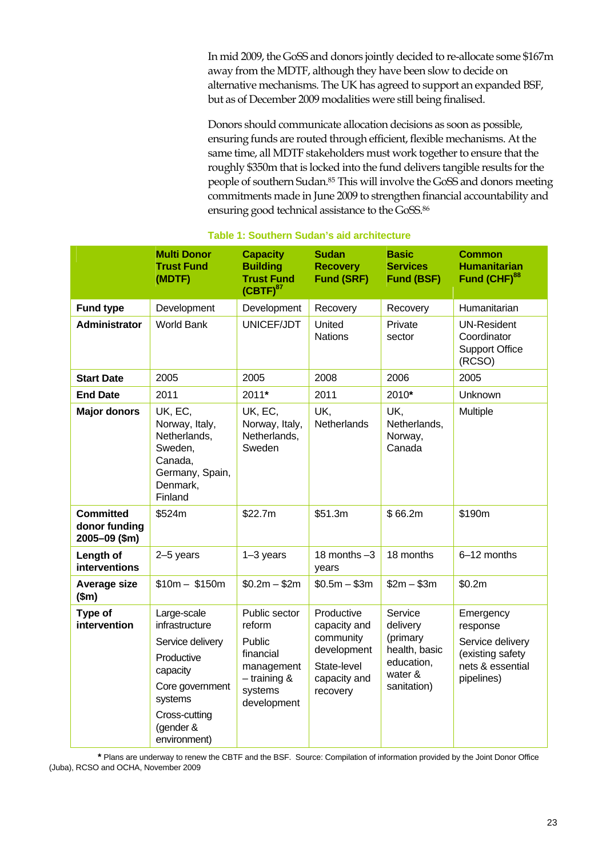In mid 2009, the GoSS and donors jointly decided to re-allocate some \$167m away from the MDTF, although they have been slow to decide on alternative mechanisms. The UK has agreed to support an expanded BSF, but as of December 2009 modalities were still being finalised.

Donors should communicate allocation decisions as soon as possible, ensuring funds are routed through efficient, flexible mechanisms. At the same time, all MDTF stakeholders must work together to ensure that the roughly \$350m that is locked into the fund delivers tangible results for the people of southern Sudan.85 This will involve the GoSS and donors meeting commitments made in June 2009 to strengthen financial accountability and ensuring good technical assistance to the GoSS.86

|                                                    | <b>Multi Donor</b><br><b>Trust Fund</b><br>(MDTF)                                                                                                       | <b>Capacity</b><br><b>Building</b><br><b>Trust Fund</b><br>$(CBTF)^{87}$                                    | <b>Sudan</b><br><b>Recovery</b><br><b>Fund (SRF)</b>                                              | <b>Basic</b><br><b>Services</b><br><b>Fund (BSF)</b>                                     | <b>Common</b><br><b>Humanitarian</b><br>Fund (CHF) <sup>88</sup>                                |
|----------------------------------------------------|---------------------------------------------------------------------------------------------------------------------------------------------------------|-------------------------------------------------------------------------------------------------------------|---------------------------------------------------------------------------------------------------|------------------------------------------------------------------------------------------|-------------------------------------------------------------------------------------------------|
| <b>Fund type</b>                                   | Development                                                                                                                                             | Development                                                                                                 | Recovery                                                                                          | Recovery                                                                                 | Humanitarian                                                                                    |
| <b>Administrator</b>                               | <b>World Bank</b>                                                                                                                                       | UNICEF/JDT                                                                                                  | United<br><b>Nations</b>                                                                          | Private<br>sector                                                                        | <b>UN-Resident</b><br>Coordinator<br><b>Support Office</b><br>(RCSO)                            |
| <b>Start Date</b>                                  | 2005                                                                                                                                                    | 2005                                                                                                        | 2008                                                                                              | 2006                                                                                     | 2005                                                                                            |
| <b>End Date</b>                                    | 2011                                                                                                                                                    | 2011*                                                                                                       | 2011                                                                                              | 2010*                                                                                    | Unknown                                                                                         |
| <b>Major donors</b>                                | UK, EC,<br>Norway, Italy,<br>Netherlands,<br>Sweden,<br>Canada,<br>Germany, Spain,<br>Denmark,<br>Finland                                               | UK, EC,<br>Norway, Italy,<br>Netherlands,<br>Sweden                                                         | UK.<br><b>Netherlands</b>                                                                         | UK,<br>Netherlands,<br>Norway,<br>Canada                                                 | Multiple                                                                                        |
| <b>Committed</b><br>donor funding<br>2005-09 (\$m) | \$524m                                                                                                                                                  | \$22.7m                                                                                                     | \$51.3m                                                                                           | \$66.2m                                                                                  | \$190m                                                                                          |
| Length of<br><b>interventions</b>                  | 2-5 years                                                                                                                                               | $1-3$ years                                                                                                 | 18 months $-3$<br>years                                                                           | 18 months                                                                                | 6-12 months                                                                                     |
| Average size<br>\$m\$                              | $$10m - $150m$                                                                                                                                          | $$0.2m - $2m$                                                                                               | $$0.5m - $3m$                                                                                     | $$2m - $3m$                                                                              | \$0.2m                                                                                          |
| Type of<br>intervention                            | Large-scale<br>infrastructure<br>Service delivery<br>Productive<br>capacity<br>Core government<br>systems<br>Cross-cutting<br>(gender &<br>environment) | Public sector<br>reform<br>Public<br>financial<br>management<br>$-$ training $\&$<br>systems<br>development | Productive<br>capacity and<br>community<br>development<br>State-level<br>capacity and<br>recovery | Service<br>delivery<br>(primary<br>health, basic<br>education,<br>water &<br>sanitation) | Emergency<br>response<br>Service delivery<br>(existing safety<br>nets & essential<br>pipelines) |

#### **Table 1: Southern Sudan's aid architecture**

**\*** Plans are underway to renew the CBTF and the BSF. Source: Compilation of information provided by the Joint Donor Office (Juba), RCSO and OCHA, November 2009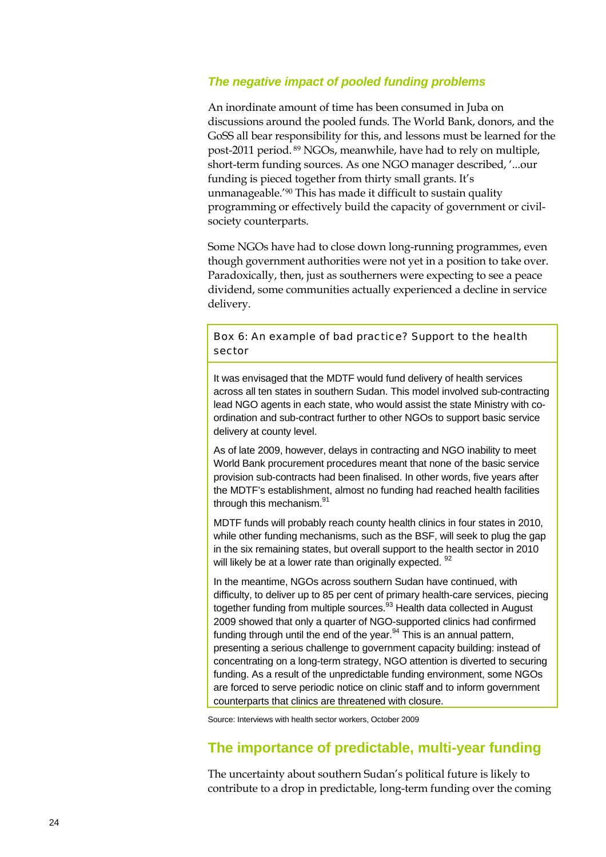#### *The negative impact of pooled funding problems*

An inordinate amount of time has been consumed in Juba on discussions around the pooled funds. The World Bank, donors, and the GoSS all bear responsibility for this, and lessons must be learned for the post-2011 period. 89 NGOs, meanwhile, have had to rely on multiple, short-term funding sources. As one NGO manager described, '...our funding is pieced together from thirty small grants. It's unmanageable.'90 This has made it difficult to sustain quality programming or effectively build the capacity of government or civilsociety counterparts.

Some NGOs have had to close down long-running programmes, even though government authorities were not yet in a position to take over. Paradoxically, then, just as southerners were expecting to see a peace dividend, some communities actually experienced a decline in service delivery.

#### Box 6: An example of bad practice? Support to the health sector

It was envisaged that the MDTF would fund delivery of health services across all ten states in southern Sudan. This model involved sub-contracting lead NGO agents in each state, who would assist the state Ministry with coordination and sub-contract further to other NGOs to support basic service delivery at county level.

As of late 2009, however, delays in contracting and NGO inability to meet World Bank procurement procedures meant that none of the basic service provision sub-contracts had been finalised. In other words, five years after the MDTF's establishment, almost no funding had reached health facilities through this mechanism.<sup>91</sup>

MDTF funds will probably reach county health clinics in four states in 2010, while other funding mechanisms, such as the BSF, will seek to plug the gap in the six remaining states, but overall support to the health sector in 2010 will likely be at a lower rate than originally expected. <sup>92</sup>

In the meantime, NGOs across southern Sudan have continued, with difficulty, to deliver up to 85 per cent of primary health-care services, piecing together funding from multiple sources.<sup>93</sup> Health data collected in August 2009 showed that only a quarter of NGO-supported clinics had confirmed funding through until the end of the year.  $94$  This is an annual pattern, presenting a serious challenge to government capacity building: instead of concentrating on a long-term strategy, NGO attention is diverted to securing funding. As a result of the unpredictable funding environment, some NGOs are forced to serve periodic notice on clinic staff and to inform government counterparts that clinics are threatened with closure.

Source: Interviews with health sector workers, October 2009

#### **The importance of predictable, multi-year funding**

The uncertainty about southern Sudan's political future is likely to contribute to a drop in predictable, long-term funding over the coming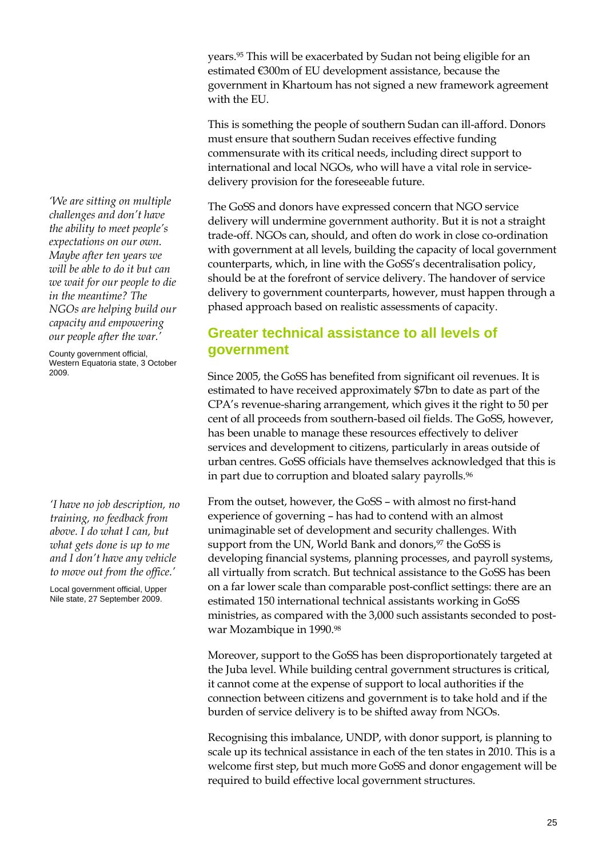years.95 This will be exacerbated by Sudan not being eligible for an estimated €300m of EU development assistance, because the government in Khartoum has not signed a new framework agreement with the EU.

This is something the people of southern Sudan can ill-afford. Donors must ensure that southern Sudan receives effective funding commensurate with its critical needs, including direct support to international and local NGOs, who will have a vital role in servicedelivery provision for the foreseeable future.

The GoSS and donors have expressed concern that NGO service delivery will undermine government authority. But it is not a straight trade-off. NGOs can, should, and often do work in close co-ordination with government at all levels, building the capacity of local government counterparts, which, in line with the GoSS's decentralisation policy, should be at the forefront of service delivery. The handover of service delivery to government counterparts, however, must happen through a phased approach based on realistic assessments of capacity.

### **Greater technical assistance to all levels of government**

Since 2005, the GoSS has benefited from significant oil revenues. It is estimated to have received approximately \$7bn to date as part of the CPA's revenue-sharing arrangement, which gives it the right to 50 per cent of all proceeds from southern-based oil fields. The GoSS, however, has been unable to manage these resources effectively to deliver services and development to citizens, particularly in areas outside of urban centres. GoSS officials have themselves acknowledged that this is in part due to corruption and bloated salary payrolls.<sup>96</sup>

From the outset, however, the GoSS – with almost no first-hand experience of governing – has had to contend with an almost unimaginable set of development and security challenges. With support from the UN, World Bank and donors,<sup>97</sup> the GoSS is developing financial systems, planning processes, and payroll systems, all virtually from scratch. But technical assistance to the GoSS has been on a far lower scale than comparable post-conflict settings: there are an estimated 150 international technical assistants working in GoSS ministries, as compared with the 3,000 such assistants seconded to postwar Mozambique in 1990.98

Moreover, support to the GoSS has been disproportionately targeted at the Juba level. While building central government structures is critical, it cannot come at the expense of support to local authorities if the connection between citizens and government is to take hold and if the burden of service delivery is to be shifted away from NGOs.

Recognising this imbalance, UNDP, with donor support, is planning to scale up its technical assistance in each of the ten states in 2010. This is a welcome first step, but much more GoSS and donor engagement will be required to build effective local government structures.

*'We are sitting on multiple challenges and don't have the ability to meet people's expectations on our own. Maybe after ten years we will be able to do it but can we wait for our people to die in the meantime? The NGOs are helping build our capacity and empowering our people after the war.'* 

County government official, Western Equatoria state, 3 October 2009.

*'I have no job description, no training, no feedback from above. I do what I can, but what gets done is up to me and I don't have any vehicle to move out from the office.'* 

Local government official, Upper Nile state, 27 September 2009.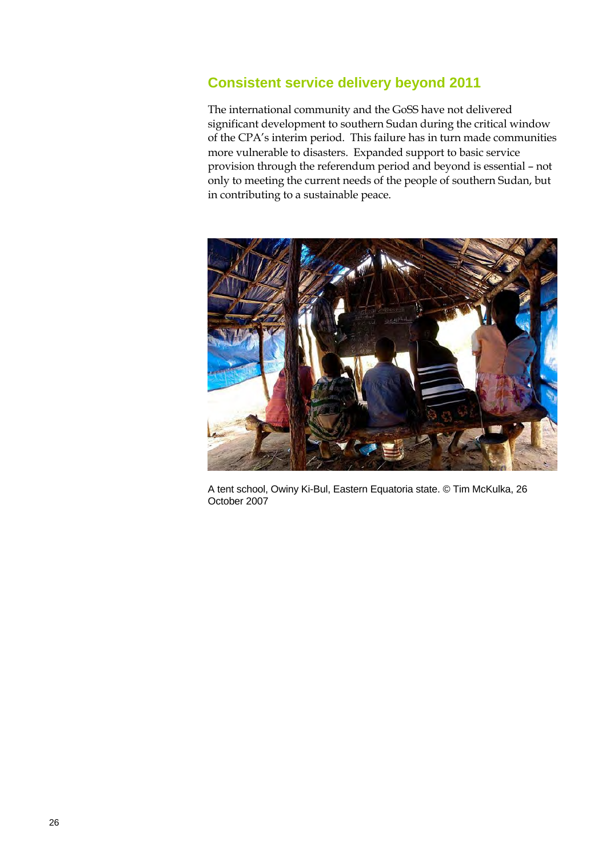### **Consistent service delivery beyond 2011**

The international community and the GoSS have not delivered significant development to southern Sudan during the critical window of the CPA's interim period. This failure has in turn made communities more vulnerable to disasters. Expanded support to basic service provision through the referendum period and beyond is essential – not only to meeting the current needs of the people of southern Sudan, but in contributing to a sustainable peace.



A tent school, Owiny Ki-Bul, Eastern Equatoria state. © Tim McKulka, 26 October 2007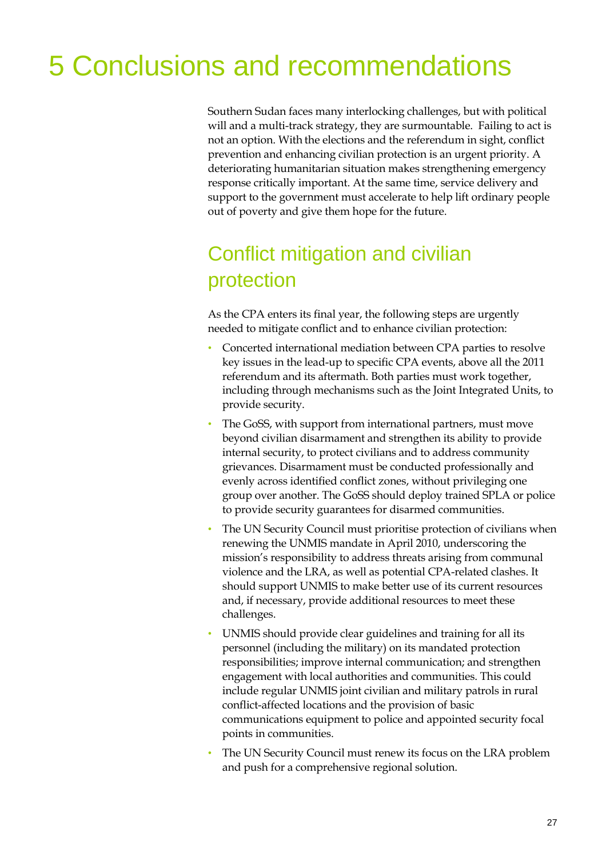# 5 Conclusions and recommendations

Southern Sudan faces many interlocking challenges, but with political will and a multi-track strategy, they are surmountable. Failing to act is not an option. With the elections and the referendum in sight, conflict prevention and enhancing civilian protection is an urgent priority. A deteriorating humanitarian situation makes strengthening emergency response critically important. At the same time, service delivery and support to the government must accelerate to help lift ordinary people out of poverty and give them hope for the future.

# Conflict mitigation and civilian protection

As the CPA enters its final year, the following steps are urgently needed to mitigate conflict and to enhance civilian protection:

- Concerted international mediation between CPA parties to resolve key issues in the lead-up to specific CPA events, above all the 2011 referendum and its aftermath. Both parties must work together, including through mechanisms such as the Joint Integrated Units, to provide security.
- The GoSS, with support from international partners, must move beyond civilian disarmament and strengthen its ability to provide internal security, to protect civilians and to address community grievances. Disarmament must be conducted professionally and evenly across identified conflict zones, without privileging one group over another. The GoSS should deploy trained SPLA or police to provide security guarantees for disarmed communities.
- The UN Security Council must prioritise protection of civilians when renewing the UNMIS mandate in April 2010, underscoring the mission's responsibility to address threats arising from communal violence and the LRA, as well as potential CPA-related clashes. It should support UNMIS to make better use of its current resources and, if necessary, provide additional resources to meet these challenges.
- UNMIS should provide clear guidelines and training for all its personnel (including the military) on its mandated protection responsibilities; improve internal communication; and strengthen engagement with local authorities and communities. This could include regular UNMIS joint civilian and military patrols in rural conflict-affected locations and the provision of basic communications equipment to police and appointed security focal points in communities.
- The UN Security Council must renew its focus on the LRA problem and push for a comprehensive regional solution.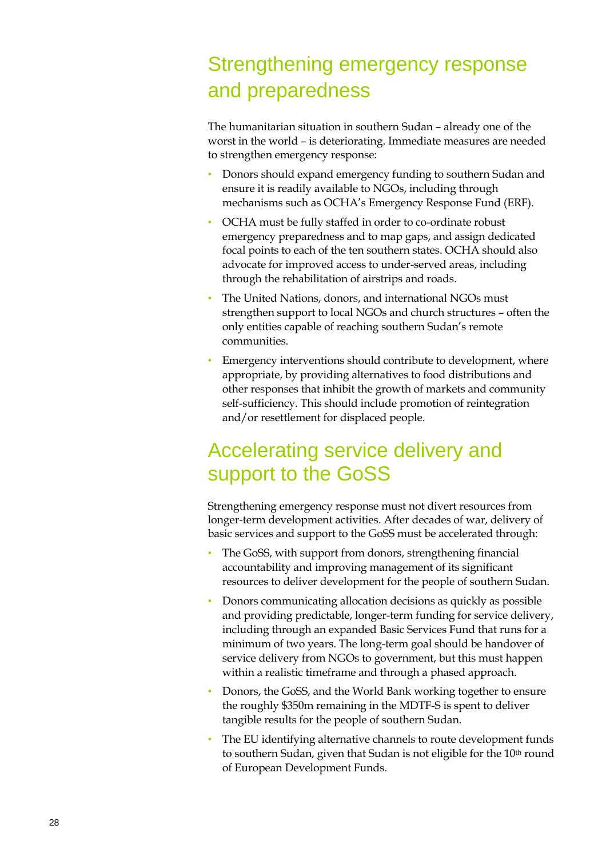# Strengthening emergency response and preparedness

The humanitarian situation in southern Sudan – already one of the worst in the world – is deteriorating. Immediate measures are needed to strengthen emergency response:

- Donors should expand emergency funding to southern Sudan and ensure it is readily available to NGOs, including through mechanisms such as OCHA's Emergency Response Fund (ERF).
- OCHA must be fully staffed in order to co-ordinate robust emergency preparedness and to map gaps, and assign dedicated focal points to each of the ten southern states. OCHA should also advocate for improved access to under-served areas, including through the rehabilitation of airstrips and roads.
- The United Nations, donors, and international NGOs must strengthen support to local NGOs and church structures – often the only entities capable of reaching southern Sudan's remote communities.
- Emergency interventions should contribute to development, where appropriate, by providing alternatives to food distributions and other responses that inhibit the growth of markets and community self-sufficiency. This should include promotion of reintegration and/or resettlement for displaced people.

## Accelerating service delivery and support to the GoSS

Strengthening emergency response must not divert resources from longer-term development activities. After decades of war, delivery of basic services and support to the GoSS must be accelerated through:

- The GoSS, with support from donors, strengthening financial accountability and improving management of its significant resources to deliver development for the people of southern Sudan.
- Donors communicating allocation decisions as quickly as possible and providing predictable, longer-term funding for service delivery, including through an expanded Basic Services Fund that runs for a minimum of two years. The long-term goal should be handover of service delivery from NGOs to government, but this must happen within a realistic timeframe and through a phased approach.
- Donors, the GoSS, and the World Bank working together to ensure the roughly \$350m remaining in the MDTF-S is spent to deliver tangible results for the people of southern Sudan.
- The EU identifying alternative channels to route development funds to southern Sudan, given that Sudan is not eligible for the 10<sup>th</sup> round of European Development Funds.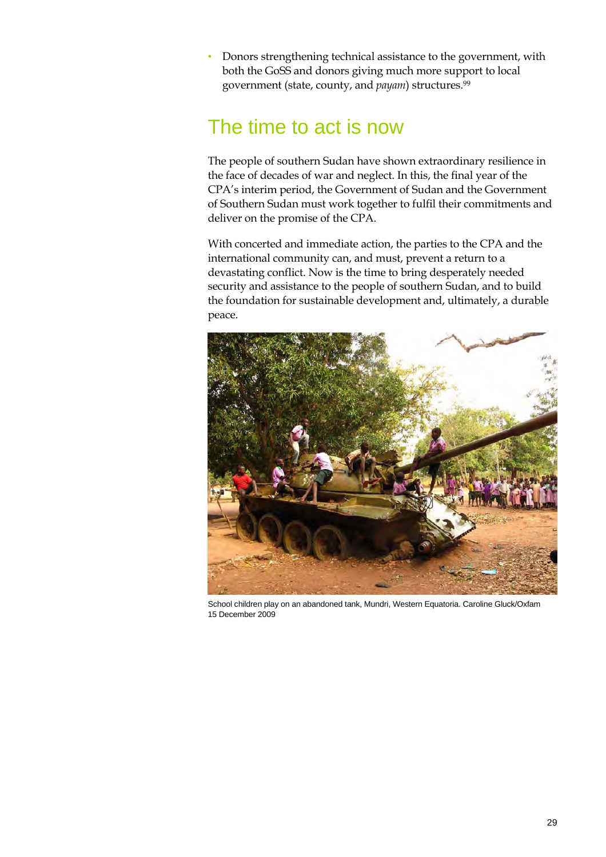• Donors strengthening technical assistance to the government, with both the GoSS and donors giving much more support to local government (state, county, and *payam*) structures.99

## The time to act is now

The people of southern Sudan have shown extraordinary resilience in the face of decades of war and neglect. In this, the final year of the CPA's interim period, the Government of Sudan and the Government of Southern Sudan must work together to fulfil their commitments and deliver on the promise of the CPA.

With concerted and immediate action, the parties to the CPA and the international community can, and must, prevent a return to a devastating conflict. Now is the time to bring desperately needed security and assistance to the people of southern Sudan, and to build the foundation for sustainable development and, ultimately, a durable peace.



School children play on an abandoned tank, Mundri, Western Equatoria. Caroline Gluck/Oxfam 15 December 2009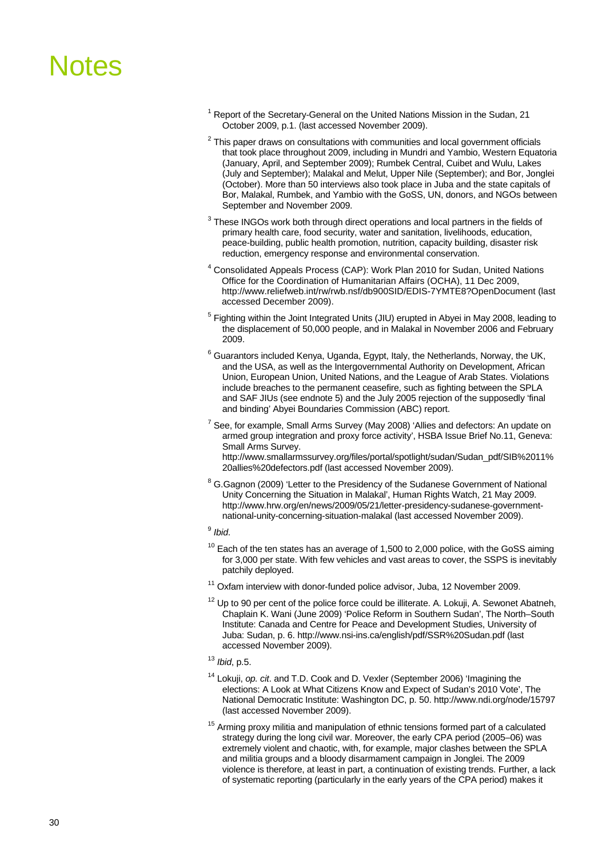# Notes

- $1$  Report of the Secretary-General on the United Nations Mission in the Sudan, 21 October 2009, p.1. (last accessed November 2009).
- $2$  This paper draws on consultations with communities and local government officials that took place throughout 2009, including in Mundri and Yambio, Western Equatoria (January, April, and September 2009); Rumbek Central, Cuibet and Wulu, Lakes (July and September); Malakal and Melut, Upper Nile (September); and Bor, Jonglei (October). More than 50 interviews also took place in Juba and the state capitals of Bor, Malakal, Rumbek, and Yambio with the GoSS, UN, donors, and NGOs between September and November 2009.
- $3$  These INGOs work both through direct operations and local partners in the fields of primary health care, food security, water and sanitation, livelihoods, education, peace-building, public health promotion, nutrition, capacity building, disaster risk reduction, emergency response and environmental conservation.
- <sup>4</sup> Consolidated Appeals Process (CAP): Work Plan 2010 for Sudan, United Nations Office for the Coordination of Humanitarian Affairs (OCHA), 11 Dec 2009, http://www.reliefweb.int/rw/rwb.nsf/db900SID/EDIS-7YMTE8?OpenDocument (last accessed December 2009).
- <sup>5</sup> Fighting within the Joint Integrated Units (JIU) erupted in Abyei in May 2008, leading to the displacement of 50,000 people, and in Malakal in November 2006 and February 2009.
- $^6$  Guarantors included Kenya, Uganda, Egypt, Italy, the Netherlands, Norway, the UK, and the USA, as well as the Intergovernmental Authority on Development, African Union, European Union, United Nations, and the League of Arab States. Violations include breaches to the permanent ceasefire, such as fighting between the SPLA and SAF JIUs (see endnote 5) and the July 2005 rejection of the supposedly 'final and binding' Abyei Boundaries Commission (ABC) report.
- $^7$  See, for example, Small Arms Survey (May 2008) 'Allies and defectors: An update on armed group integration and proxy force activity', HSBA Issue Brief No.11, Geneva: Small Arms Survey. http://www.smallarmssurvey.org/files/portal/spotlight/sudan/Sudan\_pdf/SIB%2011% 20allies%20defectors.pdf (last accessed November 2009).
- <sup>8</sup> G.Gagnon (2009) 'Letter to the Presidency of the Sudanese Government of National Unity Concerning the Situation in Malakal', Human Rights Watch, 21 May 2009. http://www.hrw.org/en/news/2009/05/21/letter-presidency-sudanese-governmentnational-unity-concerning-situation-malakal (last accessed November 2009).
- <sup>9</sup> *Ibid*.
- $10$  Each of the ten states has an average of 1,500 to 2,000 police, with the GoSS aiming for 3,000 per state. With few vehicles and vast areas to cover, the SSPS is inevitably patchily deployed.
- <sup>11</sup> Oxfam interview with donor-funded police advisor, Juba, 12 November 2009.
- $12$  Up to 90 per cent of the police force could be illiterate. A. Lokuji, A. Sewonet Abatneh, Chaplain K. Wani (June 2009) 'Police Reform in Southern Sudan', The North–South Institute: Canada and Centre for Peace and Development Studies, University of Juba: Sudan, p. 6. http://www.nsi-ins.ca/english/pdf/SSR%20Sudan.pdf (last accessed November 2009).
- <sup>13</sup> *Ibid*, p.5.
- 14 Lokuji, *op. cit*. and T.D. Cook and D. Vexler (September 2006) 'Imagining the elections: A Look at What Citizens Know and Expect of Sudan's 2010 Vote', The National Democratic Institute: Washington DC, p. 50. http://www.ndi.org/node/15797 (last accessed November 2009).
- $15$  Arming proxy militia and manipulation of ethnic tensions formed part of a calculated strategy during the long civil war. Moreover, the early CPA period (2005–06) was extremely violent and chaotic, with, for example, major clashes between the SPLA and militia groups and a bloody disarmament campaign in Jonglei. The 2009 violence is therefore, at least in part, a continuation of existing trends. Further, a lack of systematic reporting (particularly in the early years of the CPA period) makes it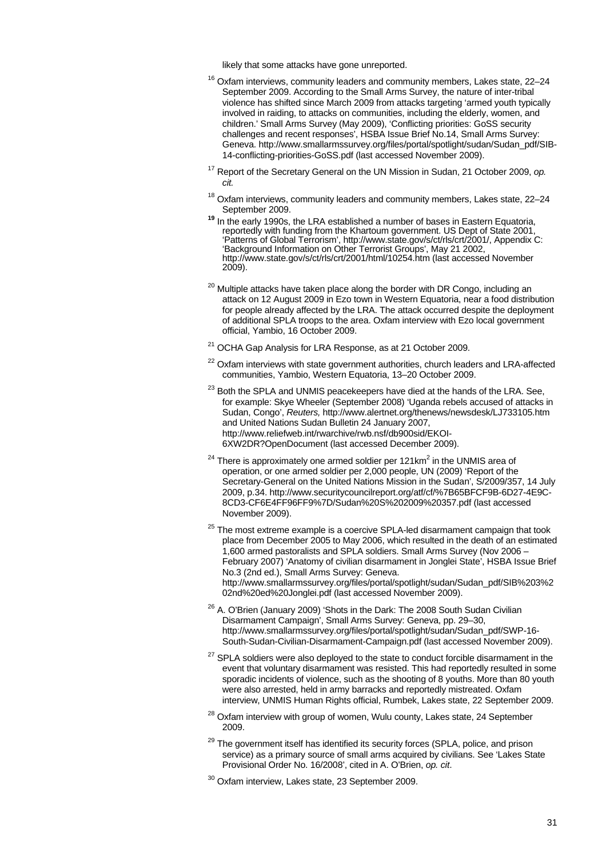likely that some attacks have gone unreported.

- $16$  Oxfam interviews, community leaders and community members, Lakes state, 22-24 September 2009. According to the Small Arms Survey, the nature of inter-tribal violence has shifted since March 2009 from attacks targeting 'armed youth typically involved in raiding, to attacks on communities, including the elderly, women, and children.' Small Arms Survey (May 2009), 'Conflicting priorities: GoSS security challenges and recent responses', HSBA Issue Brief No.14, Small Arms Survey: Geneva. http://www.smallarmssurvey.org/files/portal/spotlight/sudan/Sudan\_pdf/SIB-14-conflicting-priorities-GoSS.pdf (last accessed November 2009).
- 17 Report of the Secretary General on the UN Mission in Sudan, 21 October 2009, *op. cit.*
- $18$  Oxfam interviews, community leaders and community members, Lakes state, 22–24 September 2009.
- **<sup>19</sup>** In the early 1990s, the LRA established a number of bases in Eastern Equatoria, reportedly with funding from the Khartoum government. US Dept of State 2001, 'Patterns of Global Terrorism', http://www.state.gov/s/ct/rls/crt/2001/, Appendix C: 'Background Information on Other Terrorist Groups', May 21 2002, http://www.state.gov/s/ct/rls/crt/2001/html/10254.htm (last accessed November 2009).
- $^{20}$  Multiple attacks have taken place along the border with DR Congo, including an attack on 12 August 2009 in Ezo town in Western Equatoria, near a food distribution for people already affected by the LRA. The attack occurred despite the deployment of additional SPLA troops to the area. Oxfam interview with Ezo local government official, Yambio, 16 October 2009.
- <sup>21</sup> OCHA Gap Analysis for LRA Response, as at 21 October 2009.
- <sup>22</sup> Oxfam interviews with state government authorities, church leaders and LRA-affected communities, Yambio, Western Equatoria, 13–20 October 2009.
- $^{23}$  Both the SPLA and UNMIS peacekeepers have died at the hands of the LRA. See, for example: Skye Wheeler (September 2008) 'Uganda rebels accused of attacks in Sudan, Congo', *Reuters,* http://www.alertnet.org/thenews/newsdesk/LJ733105.htm and United Nations Sudan Bulletin 24 January 2007, http://www.reliefweb.int/rwarchive/rwb.nsf/db900sid/EKOI-6XW2DR?OpenDocument (last accessed December 2009).
- $^{24}$  There is approximately one armed soldier per 121km<sup>2</sup> in the UNMIS area of operation, or one armed soldier per 2,000 people, UN (2009) 'Report of the Secretary-General on the United Nations Mission in the Sudan', S/2009/357, 14 July 2009, p.34. http://www.securitycouncilreport.org/atf/cf/%7B65BFCF9B-6D27-4E9C-8CD3-CF6E4FF96FF9%7D/Sudan%20S%202009%20357.pdf (last accessed November 2009).
- $25$  The most extreme example is a coercive SPLA-led disarmament campaign that took place from December 2005 to May 2006, which resulted in the death of an estimated 1,600 armed pastoralists and SPLA soldiers. Small Arms Survey (Nov 2006 – February 2007) 'Anatomy of civilian disarmament in Jonglei State', HSBA Issue Brief No.3 (2nd ed.), Small Arms Survey: Geneva. http://www.smallarmssurvey.org/files/portal/spotlight/sudan/Sudan\_pdf/SIB%203%2 02nd%20ed%20Jonglei.pdf (last accessed November 2009).
- <sup>26</sup> A. O'Brien (Januarv 2009) 'Shots in the Dark: The 2008 South Sudan Civilian Disarmament Campaign', Small Arms Survey: Geneva, pp. 29–30, http://www.smallarmssurvey.org/files/portal/spotlight/sudan/Sudan\_pdf/SWP-16- South-Sudan-Civilian-Disarmament-Campaign.pdf (last accessed November 2009).
- $27$  SPLA soldiers were also deployed to the state to conduct forcible disarmament in the event that voluntary disarmament was resisted. This had reportedly resulted in some sporadic incidents of violence, such as the shooting of 8 youths. More than 80 youth were also arrested, held in army barracks and reportedly mistreated. Oxfam interview, UNMIS Human Rights official, Rumbek, Lakes state, 22 September 2009.
- $28$  Oxfam interview with group of women, Wulu county, Lakes state, 24 September 2009.
- <sup>29</sup> The government itself has identified its security forces (SPLA, police, and prison service) as a primary source of small arms acquired by civilians. See 'Lakes State Provisional Order No. 16/2008', cited in A. O'Brien, *op. cit*.
- 30 Oxfam interview, Lakes state, 23 September 2009.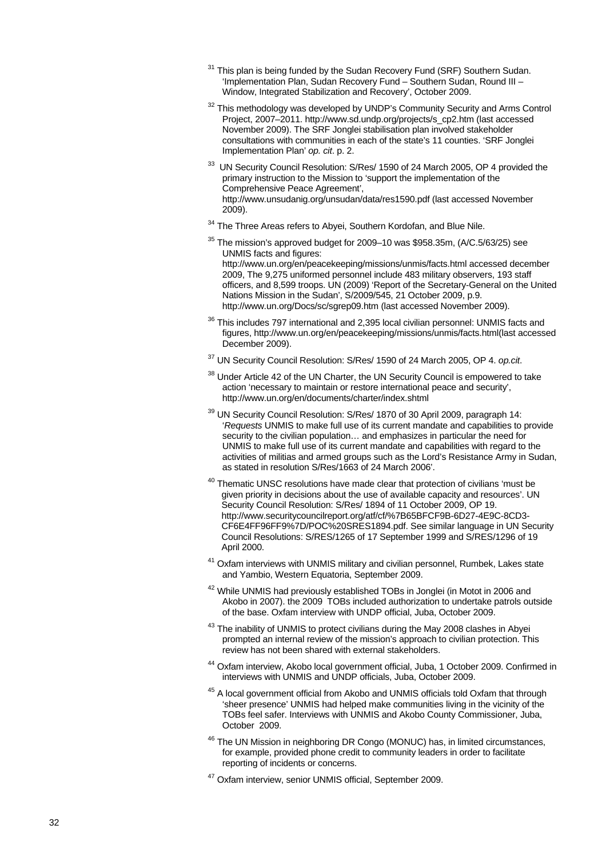- $31$  This plan is being funded by the Sudan Recovery Fund (SRF) Southern Sudan. 'Implementation Plan, Sudan Recovery Fund – Southern Sudan, Round III – Window, Integrated Stabilization and Recovery', October 2009.
- $32$  This methodology was developed by UNDP's Community Security and Arms Control Project, 2007–2011. http://www.sd.undp.org/projects/s\_cp2.htm (last accessed November 2009). The SRF Jonglei stabilisation plan involved stakeholder consultations with communities in each of the state's 11 counties. 'SRF Jonglei Implementation Plan' *op. cit*. p. 2.
- <sup>33</sup> UN Security Council Resolution: S/Res/ 1590 of 24 March 2005, OP 4 provided the primary instruction to the Mission to 'support the implementation of the Comprehensive Peace Agreement', http://www.unsudanig.org/unsudan/data/res1590.pdf (last accessed November 2009).
- <sup>34</sup> The Three Areas refers to Abyei, Southern Kordofan, and Blue Nile.
- $35$  The mission's approved budget for 2009–10 was \$958.35m, (A/C.5/63/25) see UNMIS facts and figures: http://www.un.org/en/peacekeeping/missions/unmis/facts.html accessed december 2009, The 9,275 uniformed personnel include 483 military observers, 193 staff officers, and 8,599 troops. UN (2009) 'Report of the Secretary-General on the United Nations Mission in the Sudan', S/2009/545, 21 October 2009, p.9. http://www.un.org/Docs/sc/sgrep09.htm (last accessed November 2009).
- <sup>36</sup> This includes 797 international and 2,395 local civilian personnel: UNMIS facts and figures, http://www.un.org/en/peacekeeping/missions/unmis/facts.html(last accessed December 2009).
- 37 UN Security Council Resolution: S/Res/ 1590 of 24 March 2005, OP 4. *op.cit*.
- <sup>38</sup> Under Article 42 of the UN Charter, the UN Security Council is empowered to take action 'necessary to maintain or restore international peace and security', http://www.un.org/en/documents/charter/index.shtml
- 39 UN Security Council Resolution: S/Res/ 1870 of 30 April 2009, paragraph 14: '*Requests* UNMIS to make full use of its current mandate and capabilities to provide security to the civilian population… and emphasizes in particular the need for UNMIS to make full use of its current mandate and capabilities with regard to the activities of militias and armed groups such as the Lord's Resistance Army in Sudan, as stated in resolution S/Res/1663 of 24 March 2006'.
- $40$  Thematic UNSC resolutions have made clear that protection of civilians 'must be given priority in decisions about the use of available capacity and resources'. UN Security Council Resolution: S/Res/ 1894 of 11 October 2009, OP 19. http://www.securitycouncilreport.org/atf/cf/%7B65BFCF9B-6D27-4E9C-8CD3- CF6E4FF96FF9%7D/POC%20SRES1894.pdf. See similar language in UN Security Council Resolutions: S/RES/1265 of 17 September 1999 and S/RES/1296 of 19 April 2000.
- <sup>41</sup> Oxfam interviews with UNMIS military and civilian personnel, Rumbek, Lakes state and Yambio, Western Equatoria, September 2009.
- <sup>42</sup> While UNMIS had previously established TOBs in Jonglei (in Motot in 2006 and Akobo in 2007). the 2009 TOBs included authorization to undertake patrols outside of the base. Oxfam interview with UNDP official, Juba, October 2009.
- <sup>43</sup> The inability of UNMIS to protect civilians during the May 2008 clashes in Abyei prompted an internal review of the mission's approach to civilian protection. This review has not been shared with external stakeholders.
- 44 Oxfam interview, Akobo local government official, Juba, 1 October 2009. Confirmed in interviews with UNMIS and UNDP officials, Juba, October 2009.
- <sup>45</sup> A local government official from Akobo and UNMIS officials told Oxfam that through 'sheer presence' UNMIS had helped make communities living in the vicinity of the TOBs feel safer. Interviews with UNMIS and Akobo County Commissioner, Juba, October 2009.
- <sup>46</sup> The UN Mission in neighboring DR Congo (MONUC) has, in limited circumstances, for example, provided phone credit to community leaders in order to facilitate reporting of incidents or concerns.
- 47 Oxfam interview, senior UNMIS official, September 2009.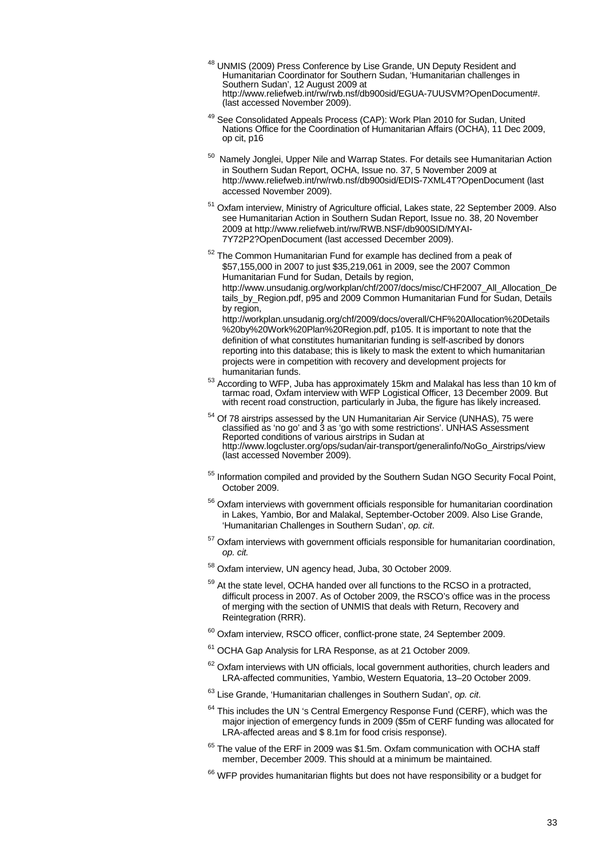- <sup>48</sup> UNMIS (2009) Press Conference by Lise Grande, UN Deputy Resident and Humanitarian Coordinator for Southern Sudan, 'Humanitarian challenges in Southern Sudan', 12 August 2009 at http://www.reliefweb.int/rw/rwb.nsf/db900sid/EGUA-7UUSVM?OpenDocument#. (last accessed November 2009).
- <sup>49</sup> See Consolidated Appeals Process (CAP): Work Plan 2010 for Sudan, United Nations Office for the Coordination of Humanitarian Affairs (OCHA), 11 Dec 2009, op cit, p16
- <sup>50</sup> Namely Jonglei, Upper Nile and Warrap States. For details see Humanitarian Action in Southern Sudan Report, OCHA, Issue no. 37, 5 November 2009 at http://www.reliefweb.int/rw/rwb.nsf/db900sid/EDIS-7XML4T?OpenDocument (last accessed November 2009).
- 51 Oxfam interview, Ministry of Agriculture official, Lakes state, 22 September 2009. Also see Humanitarian Action in Southern Sudan Report, Issue no. 38, 20 November 2009 at http://www.reliefweb.int/rw/RWB.NSF/db900SID/MYAI-7Y72P2?OpenDocument (last accessed December 2009).
- <sup>52</sup> The Common Humanitarian Fund for example has declined from a peak of \$57,155,000 in 2007 to just \$35,219,061 in 2009, see the 2007 Common Humanitarian Fund for Sudan, Details by region,

http://www.unsudanig.org/workplan/chf/2007/docs/misc/CHF2007\_All\_Allocation\_De tails\_by\_Region.pdf, p95 and 2009 Common Humanitarian Fund for Sudan, Details by region.

http://workplan.unsudanig.org/chf/2009/docs/overall/CHF%20Allocation%20Details %20by%20Work%20Plan%20Region.pdf, p105. It is important to note that the definition of what constitutes humanitarian funding is self-ascribed by donors reporting into this database; this is likely to mask the extent to which humanitarian projects were in competition with recovery and development projects for

- humanitarian funds.<br><sup>53</sup> According to WFP, Juba has approximately 15km and Malakal has less than 10 km of tarmac road, Oxfam interview with WFP Logistical Officer, 13 December 2009. But with recent road construction, particularly in Juba, the figure has likely increased.
- $54$  Of 78 airstrips assessed by the UN Humanitarian Air Service (UNHAS), 75 were classified as 'no go' and 3 as 'go with some restrictions'. UNHAS Assessment Reported conditions of various airstrips in Sudan at http://www.logcluster.org/ops/sudan/air-transport/generalinfo/NoGo\_Airstrips/view (last accessed November 2009).
- 55 Information compiled and provided by the Southern Sudan NGO Security Focal Point, October 2009.
- <sup>56</sup> Oxfam interviews with government officials responsible for humanitarian coordination in Lakes, Yambio, Bor and Malakal, September-October 2009. Also Lise Grande, 'Humanitarian Challenges in Southern Sudan', *op. cit*.
- $57$  Oxfam interviews with government officials responsible for humanitarian coordination, *op. cit.*
- 58 Oxfam interview, UN agency head, Juba, 30 October 2009.
- $59$  At the state level, OCHA handed over all functions to the RCSO in a protracted, difficult process in 2007. As of October 2009, the RSCO's office was in the process of merging with the section of UNMIS that deals with Return, Recovery and Reintegration (RRR).
- <sup>60</sup> Oxfam interview, RSCO officer, conflict-prone state, 24 September 2009.
- <sup>61</sup> OCHA Gap Analysis for LRA Response, as at 21 October 2009.
- Oxfam interviews with UN officials, local government authorities, church leaders and LRA-affected communities, Yambio, Western Equatoria, 13–20 October 2009.
- 63 Lise Grande, 'Humanitarian challenges in Southern Sudan', *op. cit*.
- $64$  This includes the UN 's Central Emergency Response Fund (CERF), which was the major injection of emergency funds in 2009 (\$5m of CERF funding was allocated for LRA-affected areas and \$ 8.1m for food crisis response).
- $65$  The value of the ERF in 2009 was \$1.5m. Oxfam communication with OCHA staff member, December 2009. This should at a minimum be maintained.
- <sup>66</sup> WFP provides humanitarian flights but does not have responsibility or a budget for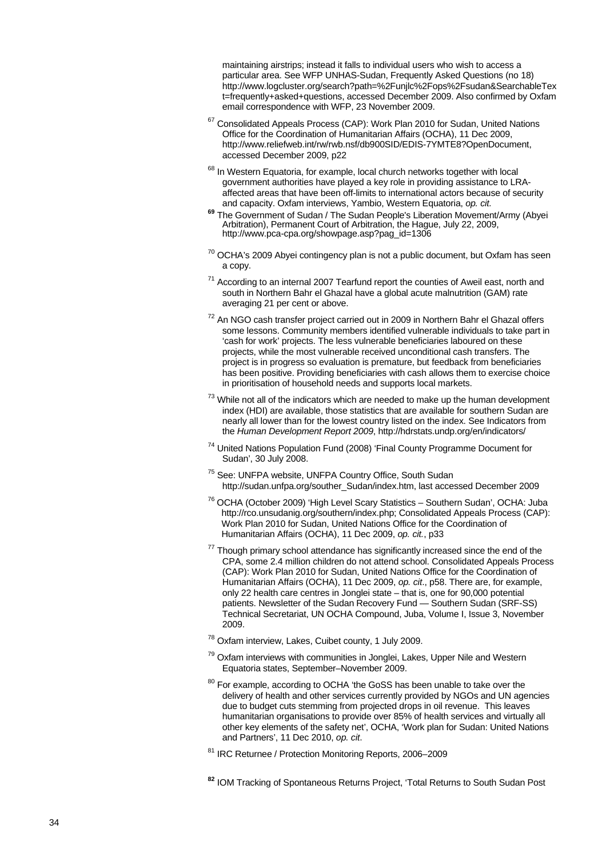maintaining airstrips; instead it falls to individual users who wish to access a particular area. See WFP UNHAS-Sudan, Frequently Asked Questions (no 18) http://www.logcluster.org/search?path=%2Funjlc%2Fops%2Fsudan&SearchableTex t=frequently+asked+questions, accessed December 2009. Also confirmed by Oxfam email correspondence with WFP, 23 November 2009.

- <sup>67</sup> Consolidated Appeals Process (CAP): Work Plan 2010 for Sudan, United Nations Office for the Coordination of Humanitarian Affairs (OCHA), 11 Dec 2009, http://www.reliefweb.int/rw/rwb.nsf/db900SID/EDIS-7YMTE8?OpenDocument, accessed December 2009, p22
- <sup>68</sup> In Western Equatoria, for example, local church networks together with local government authorities have played a key role in providing assistance to LRAaffected areas that have been off-limits to international actors because of security and capacity. Oxfam interviews, Yambio, Western Equatoria, *op. cit.*
- **<sup>69</sup>** The Government of Sudan / The Sudan People's Liberation Movement/Army (Abyei Arbitration), Permanent Court of Arbitration, the Hague, July 22, 2009, http://www.pca-cpa.org/showpage.asp?pag\_id=1306
- $70$  OCHA's 2009 Abyei contingency plan is not a public document, but Oxfam has seen a copy.
- $71$  According to an internal 2007 Tearfund report the counties of Aweil east, north and south in Northern Bahr el Ghazal have a global acute malnutrition (GAM) rate averaging 21 per cent or above.
- $72$  An NGO cash transfer project carried out in 2009 in Northern Bahr el Ghazal offers some lessons. Community members identified vulnerable individuals to take part in 'cash for work' projects. The less vulnerable beneficiaries laboured on these projects, while the most vulnerable received unconditional cash transfers. The project is in progress so evaluation is premature, but feedback from beneficiaries has been positive. Providing beneficiaries with cash allows them to exercise choice in prioritisation of household needs and supports local markets.
- $73$  While not all of the indicators which are needed to make up the human development index (HDI) are available, those statistics that are available for southern Sudan are nearly all lower than for the lowest country listed on the index. See Indicators from the *Human Development Report 2009*, http://hdrstats.undp.org/en/indicators/
- <sup>74</sup> United Nations Population Fund (2008) 'Final County Programme Document for Sudan', 30 July 2008.
- 75 See: UNFPA website, UNFPA Country Office, South Sudan http://sudan.unfpa.org/souther\_Sudan/index.htm, last accessed December 2009
- <sup>76</sup> OCHA (October 2009) 'High Level Scary Statistics Southern Sudan', OCHA: Juba http://rco.unsudanig.org/southern/index.php; Consolidated Appeals Process (CAP): Work Plan 2010 for Sudan, United Nations Office for the Coordination of Humanitarian Affairs (OCHA), 11 Dec 2009, *op. cit.*, p33
- $77$  Though primary school attendance has significantly increased since the end of the CPA, some 2.4 million children do not attend school. Consolidated Appeals Process (CAP): Work Plan 2010 for Sudan, United Nations Office for the Coordination of Humanitarian Affairs (OCHA), 11 Dec 2009, *op. cit*., p58. There are, for example, only 22 health care centres in Jonglei state – that is, one for 90,000 potential patients. Newsletter of the Sudan Recovery Fund — Southern Sudan (SRF-SS) Technical Secretariat, UN OCHA Compound, Juba, Volume I, Issue 3, November 2009.
- 78 Oxfam interview, Lakes, Cuibet county, 1 July 2009.
- <sup>79</sup> Oxfam interviews with communities in Jonglei, Lakes, Upper Nile and Western Equatoria states, September–November 2009.
- <sup>80</sup> For example, according to OCHA 'the GoSS has been unable to take over the delivery of health and other services currently provided by NGOs and UN agencies due to budget cuts stemming from projected drops in oil revenue. This leaves humanitarian organisations to provide over 85% of health services and virtually all other key elements of the safety net', OCHA, 'Work plan for Sudan: United Nations and Partners', 11 Dec 2010, *op. cit*.
- 81 IRC Returnee / Protection Monitoring Reports, 2006–2009
- **<sup>82</sup>** IOM Tracking of Spontaneous Returns Project, 'Total Returns to South Sudan Post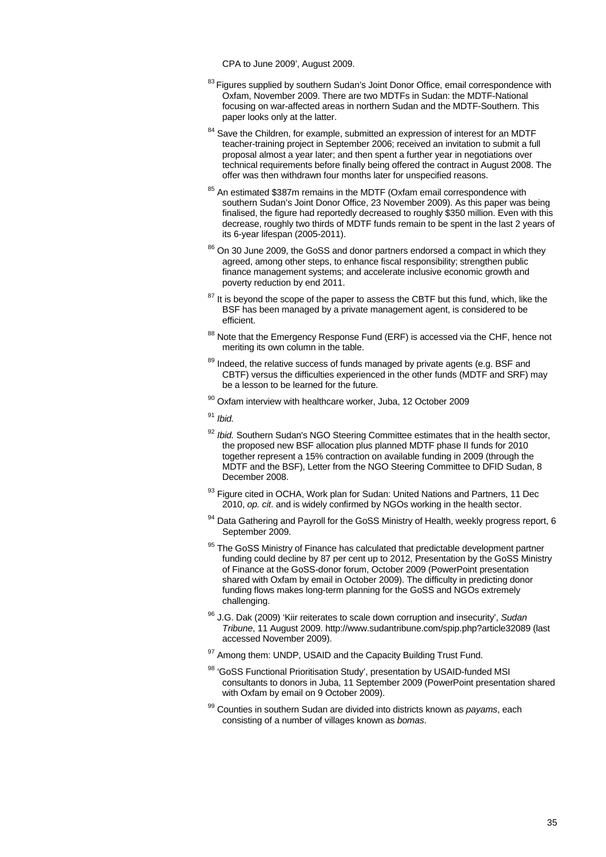CPA to June 2009', August 2009.

- 83 Figures supplied by southern Sudan's Joint Donor Office, email correspondence with Oxfam, November 2009. There are two MDTFs in Sudan: the MDTF-National focusing on war-affected areas in northern Sudan and the MDTF-Southern. This paper looks only at the latter.
- $84$  Save the Children, for example, submitted an expression of interest for an MDTF teacher-training project in September 2006; received an invitation to submit a full proposal almost a year later; and then spent a further year in negotiations over technical requirements before finally being offered the contract in August 2008. The offer was then withdrawn four months later for unspecified reasons.
- 85 An estimated \$387m remains in the MDTF (Oxfam email correspondence with southern Sudan's Joint Donor Office, 23 November 2009). As this paper was being finalised, the figure had reportedly decreased to roughly \$350 million. Even with this decrease, roughly two thirds of MDTF funds remain to be spent in the last 2 years of its 6-year lifespan (2005-2011).
- <sup>86</sup> On 30 June 2009, the GoSS and donor partners endorsed a compact in which they agreed, among other steps, to enhance fiscal responsibility; strengthen public finance management systems; and accelerate inclusive economic growth and poverty reduction by end 2011.
- $87$  It is beyond the scope of the paper to assess the CBTF but this fund, which, like the BSF has been managed by a private management agent, is considered to be efficient.
- 88 Note that the Emergency Response Fund (ERF) is accessed via the CHF, hence not meriting its own column in the table.
- <sup>89</sup> Indeed, the relative success of funds managed by private agents (e.g. BSF and CBTF) versus the difficulties experienced in the other funds (MDTF and SRF) may be a lesson to be learned for the future.
- 90 Oxfam interview with healthcare worker, Juba, 12 October 2009
- <sup>91</sup> *Ibid.*
- <sup>92</sup> Ibid. Southern Sudan's NGO Steering Committee estimates that in the health sector, the proposed new BSF allocation plus planned MDTF phase II funds for 2010 together represent a 15% contraction on available funding in 2009 (through the MDTF and the BSF), Letter from the NGO Steering Committee to DFID Sudan, 8 December 2008.
- 93 Figure cited in OCHA, Work plan for Sudan: United Nations and Partners, 11 Dec 2010, *op. cit*. and is widely confirmed by NGOs working in the health sector.
- 94 Data Gathering and Payroll for the GoSS Ministry of Health, weekly progress report, 6 September 2009.
- $95$  The GoSS Ministry of Finance has calculated that predictable development partner funding could decline by 87 per cent up to 2012, Presentation by the GoSS Ministry of Finance at the GoSS-donor forum, October 2009 (PowerPoint presentation shared with Oxfam by email in October 2009). The difficulty in predicting donor funding flows makes long-term planning for the GoSS and NGOs extremely challenging.
- 96 J.G. Dak (2009) 'Kiir reiterates to scale down corruption and insecurity', *Sudan Tribune*, 11 August 2009. http://www.sudantribune.com/spip.php?article32089 (last accessed November 2009).
- 97 Among them: UNDP, USAID and the Capacity Building Trust Fund.
- 98 'GoSS Functional Prioritisation Study', presentation by USAID-funded MSI consultants to donors in Juba, 11 September 2009 (PowerPoint presentation shared with Oxfam by email on 9 October 2009).
- 99 Counties in southern Sudan are divided into districts known as *payams*, each consisting of a number of villages known as *bomas*.